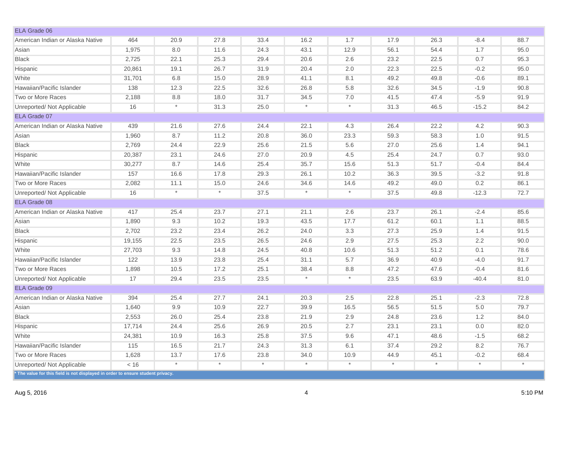| ELA Grade 06                                                                    |        |            |         |         |          |          |          |          |          |         |
|---------------------------------------------------------------------------------|--------|------------|---------|---------|----------|----------|----------|----------|----------|---------|
| American Indian or Alaska Native                                                | 464    | 20.9       | 27.8    | 33.4    | 16.2     | 1.7      | 17.9     | 26.3     | $-8.4$   | 88.7    |
| Asian                                                                           | 1,975  | 8.0        | 11.6    | 24.3    | 43.1     | 12.9     | 56.1     | 54.4     | 1.7      | 95.0    |
| <b>Black</b>                                                                    | 2,725  | 22.1       | 25.3    | 29.4    | 20.6     | 2.6      | 23.2     | 22.5     | 0.7      | 95.3    |
| Hispanic                                                                        | 20,861 | 19.1       | 26.7    | 31.9    | 20.4     | 2.0      | 22.3     | 22.5     | $-0.2$   | 95.0    |
| White                                                                           | 31,701 | 6.8        | 15.0    | 28.9    | 41.1     | 8.1      | 49.2     | 49.8     | $-0.6$   | 89.1    |
| Hawaiian/Pacific Islander                                                       | 138    | 12.3       | 22.5    | 32.6    | 26.8     | 5.8      | 32.6     | 34.5     | $-1.9$   | 90.8    |
| Two or More Races                                                               | 2,188  | 8.8        | 18.0    | 31.7    | 34.5     | 7.0      | 41.5     | 47.4     | $-5.9$   | 91.9    |
| Unreported/ Not Applicable                                                      | 16     | $\ast$     | 31.3    | 25.0    | $\star$  | $^\star$ | 31.3     | 46.5     | $-15.2$  | 84.2    |
| ELA Grade 07                                                                    |        |            |         |         |          |          |          |          |          |         |
| American Indian or Alaska Native                                                | 439    | 21.6       | 27.6    | 24.4    | 22.1     | 4.3      | 26.4     | 22.2     | 4.2      | 90.3    |
| Asian                                                                           | 1,960  | 8.7        | 11.2    | 20.8    | 36.0     | 23.3     | 59.3     | 58.3     | 1.0      | 91.5    |
| <b>Black</b>                                                                    | 2,769  | 24.4       | 22.9    | 25.6    | 21.5     | 5.6      | 27.0     | 25.6     | 1.4      | 94.1    |
| Hispanic                                                                        | 20,387 | 23.1       | 24.6    | 27.0    | 20.9     | 4.5      | 25.4     | 24.7     | 0.7      | 93.0    |
| White                                                                           | 30,277 | 8.7        | 14.6    | 25.4    | 35.7     | 15.6     | 51.3     | 51.7     | $-0.4$   | 84.4    |
| Hawaiian/Pacific Islander                                                       | 157    | 16.6       | 17.8    | 29.3    | 26.1     | 10.2     | 36.3     | 39.5     | $-3.2$   | 91.8    |
| Two or More Races                                                               | 2,082  | 11.1       | 15.0    | 24.6    | 34.6     | 14.6     | 49.2     | 49.0     | 0.2      | 86.1    |
| Unreported/ Not Applicable                                                      | 16     | $^{\star}$ | $\star$ | 37.5    | $\star$  | $\star$  | 37.5     | 49.8     | $-12.3$  | 72.7    |
| ELA Grade 08                                                                    |        |            |         |         |          |          |          |          |          |         |
| American Indian or Alaska Native                                                | 417    | 25.4       | 23.7    | 27.1    | 21.1     | 2.6      | 23.7     | 26.1     | $-2.4$   | 85.6    |
| Asian                                                                           | 1,890  | 9.3        | 10.2    | 19.3    | 43.5     | 17.7     | 61.2     | 60.1     | 1.1      | 88.5    |
| <b>Black</b>                                                                    | 2,702  | 23.2       | 23.4    | 26.2    | 24.0     | 3.3      | 27.3     | 25.9     | 1.4      | 91.5    |
| Hispanic                                                                        | 19,155 | 22.5       | 23.5    | 26.5    | 24.6     | 2.9      | 27.5     | 25.3     | 2.2      | 90.0    |
| White                                                                           | 27,703 | 9.3        | 14.8    | 24.5    | 40.8     | 10.6     | 51.3     | 51.2     | 0.1      | 78.6    |
| Hawaiian/Pacific Islander                                                       | 122    | 13.9       | 23.8    | 25.4    | 31.1     | 5.7      | 36.9     | 40.9     | $-4.0$   | 91.7    |
| Two or More Races                                                               | 1,898  | 10.5       | 17.2    | 25.1    | 38.4     | 8.8      | 47.2     | 47.6     | $-0.4$   | 81.6    |
| Unreported/ Not Applicable                                                      | 17     | 29.4       | 23.5    | 23.5    | $\star$  | $^\star$ | 23.5     | 63.9     | $-40.4$  | 81.0    |
| ELA Grade 09                                                                    |        |            |         |         |          |          |          |          |          |         |
| American Indian or Alaska Native                                                | 394    | 25.4       | 27.7    | 24.1    | 20.3     | 2.5      | 22.8     | 25.1     | $-2.3$   | 72.8    |
| Asian                                                                           | 1,640  | 9.9        | 10.9    | 22.7    | 39.9     | 16.5     | 56.5     | 51.5     | 5.0      | 79.7    |
| <b>Black</b>                                                                    | 2,553  | 26.0       | 25.4    | 23.8    | 21.9     | 2.9      | 24.8     | 23.6     | 1.2      | 84.0    |
| Hispanic                                                                        | 17,714 | 24.4       | 25.6    | 26.9    | 20.5     | 2.7      | 23.1     | 23.1     | 0.0      | 82.0    |
| White                                                                           | 24,381 | 10.9       | 16.3    | 25.8    | 37.5     | 9.6      | 47.1     | 48.6     | $-1.5$   | 68.2    |
| Hawaiian/Pacific Islander                                                       | 115    | 16.5       | 21.7    | 24.3    | 31.3     | 6.1      | 37.4     | 29.2     | 8.2      | 76.7    |
| Two or More Races                                                               | 1,628  | 13.7       | 17.6    | 23.8    | 34.0     | 10.9     | 44.9     | 45.1     | $-0.2$   | 68.4    |
| Unreported/ Not Applicable                                                      | < 16   | $^{\star}$ | $\star$ | $\star$ | $^\star$ | $^\star$ | $^\star$ | $^\star$ | $^\star$ | $\star$ |
| * The value for this field is not displayed in order to ensure student privacy. |        |            |         |         |          |          |          |          |          |         |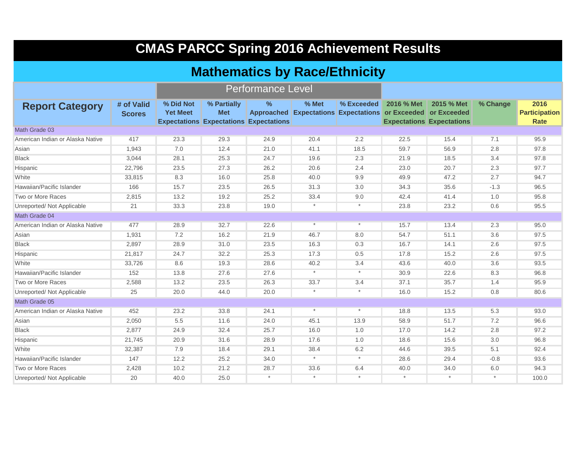| <b>CMAS PARCC Spring 2016 Achievement Results</b> |                             |                              |                                                                            |                          |          |            |                                                                            |                                                |          |                                             |  |  |  |
|---------------------------------------------------|-----------------------------|------------------------------|----------------------------------------------------------------------------|--------------------------|----------|------------|----------------------------------------------------------------------------|------------------------------------------------|----------|---------------------------------------------|--|--|--|
|                                                   |                             |                              | <b>Mathematics by Race/Ethnicity</b>                                       |                          |          |            |                                                                            |                                                |          |                                             |  |  |  |
|                                                   |                             |                              |                                                                            | <b>Performance Level</b> |          |            |                                                                            |                                                |          |                                             |  |  |  |
| <b>Report Category</b>                            | # of Valid<br><b>Scores</b> | % Did Not<br><b>Yet Meet</b> | % Partially<br><b>Met</b><br><b>Expectations Expectations Expectations</b> | $\%$                     | $%$ Met  | % Exceeded | 2016 % Met<br>Approached Expectations Expectations or Exceeded or Exceeded | 2015 % Met<br><b>Expectations Expectations</b> | % Change | 2016<br><b>Participation</b><br><b>Rate</b> |  |  |  |
| Math Grade 03                                     |                             |                              |                                                                            |                          |          |            |                                                                            |                                                |          |                                             |  |  |  |
| American Indian or Alaska Native                  | 417                         | 23.3                         | 29.3                                                                       | 24.9                     | 20.4     | 2.2        | 22.5                                                                       | 15.4                                           | 7.1      | 95.9                                        |  |  |  |
| Asian                                             | 1,943                       | 7.0                          | 12.4                                                                       | 21.0                     | 41.1     | 18.5       | 59.7                                                                       | 56.9                                           | 2.8      | 97.8                                        |  |  |  |
| <b>Black</b>                                      | 3,044                       | 28.1                         | 25.3                                                                       | 24.7                     | 19.6     | 2.3        | 21.9                                                                       | 18.5                                           | 3.4      | 97.8                                        |  |  |  |
| Hispanic                                          | 22,796                      | 23.5                         | 27.3                                                                       | 26.2                     | 20.6     | 2.4        | 23.0                                                                       | 20.7                                           | 2.3      | 97.7                                        |  |  |  |
| White                                             | 33,815                      | 8.3                          | 16.0                                                                       | 25.8                     | 40.0     | 9.9        | 49.9                                                                       | 47.2                                           | 2.7      | 94.7                                        |  |  |  |
| Hawaiian/Pacific Islander                         | 166                         | 15.7                         | 23.5                                                                       | 26.5                     | 31.3     | 3.0        | 34.3                                                                       | 35.6                                           | $-1.3$   | 96.5                                        |  |  |  |
| Two or More Races                                 | 2,815                       | 13.2                         | 19.2                                                                       | 25.2                     | 33.4     | 9.0        | 42.4                                                                       | 41.4                                           | 1.0      | 95.8                                        |  |  |  |
| Unreported/ Not Applicable                        | 21                          | 33.3                         | 23.8                                                                       | 19.0                     | $\star$  | $\star$    | 23.8                                                                       | 23.2                                           | 0.6      | 95.5                                        |  |  |  |
| Math Grade 04                                     |                             |                              |                                                                            |                          |          |            |                                                                            |                                                |          |                                             |  |  |  |
| American Indian or Alaska Native                  | 477                         | 28.9                         | 32.7                                                                       | 22.6                     | $\star$  | $\star$    | 15.7                                                                       | 13.4                                           | 2.3      | 95.0                                        |  |  |  |
| Asian                                             | 1,931                       | 7.2                          | 16.2                                                                       | 21.9                     | 46.7     | 8.0        | 54.7                                                                       | 51.1                                           | 3.6      | 97.5                                        |  |  |  |
| <b>Black</b>                                      | 2,897                       | 28.9                         | 31.0                                                                       | 23.5                     | 16.3     | 0.3        | 16.7                                                                       | 14.1                                           | 2.6      | 97.5                                        |  |  |  |
| Hispanic                                          | 21,817                      | 24.7                         | 32.2                                                                       | 25.3                     | 17.3     | 0.5        | 17.8                                                                       | 15.2                                           | 2.6      | 97.5                                        |  |  |  |
| White                                             | 33,726                      | 8.6                          | 19.3                                                                       | 28.6                     | 40.2     | 3.4        | 43.6                                                                       | 40.0                                           | 3.6      | 93.5                                        |  |  |  |
| Hawaiian/Pacific Islander                         | 152                         | 13.8                         | 27.6                                                                       | 27.6                     | $^\star$ | $^\star$   | 30.9                                                                       | 22.6                                           | 8.3      | 96.8                                        |  |  |  |
| Two or More Races                                 | 2,588                       | 13.2                         | 23.5                                                                       | 26.3                     | 33.7     | 3.4        | 37.1                                                                       | 35.7                                           | 1.4      | 95.9                                        |  |  |  |
| Unreported/ Not Applicable                        | 25                          | 20.0                         | 44.0                                                                       | 20.0                     | $^\star$ | $\ast$     | 16.0                                                                       | 15.2                                           | 0.8      | 80.6                                        |  |  |  |
| Math Grade 05                                     |                             |                              |                                                                            |                          |          |            |                                                                            |                                                |          |                                             |  |  |  |
| American Indian or Alaska Native                  | 452                         | 23.2                         | 33.8                                                                       | 24.1                     | $\star$  | $\star$    | 18.8                                                                       | 13.5                                           | 5.3      | 93.0                                        |  |  |  |
| Asian                                             | 2,050                       | 5.5                          | 11.6                                                                       | 24.0                     | 45.1     | 13.9       | 58.9                                                                       | 51.7                                           | 7.2      | 96.6                                        |  |  |  |
| <b>Black</b>                                      | 2,877                       | 24.9                         | 32.4                                                                       | 25.7                     | 16.0     | 1.0        | 17.0                                                                       | 14.2                                           | 2.8      | 97.2                                        |  |  |  |
| Hispanic                                          | 21,745                      | 20.9                         | 31.6                                                                       | 28.9                     | 17.6     | 1.0        | 18.6                                                                       | 15.6                                           | 3.0      | 96.8                                        |  |  |  |
| White                                             | 32,387                      | 7.9                          | 18.4                                                                       | 29.1                     | 38.4     | 6.2        | 44.6                                                                       | 39.5                                           | 5.1      | 92.4                                        |  |  |  |
| Hawaiian/Pacific Islander                         | 147                         | 12.2                         | 25.2                                                                       | 34.0                     | $\star$  | $^\star$   | 28.6                                                                       | 29.4                                           | $-0.8$   | 93.6                                        |  |  |  |
| Two or More Races                                 | 2,428                       | 10.2                         | 21.2                                                                       | 28.7                     | 33.6     | 6.4        | 40.0                                                                       | 34.0                                           | 6.0      | 94.3                                        |  |  |  |
| Unreported/ Not Applicable                        | 20                          | 40.0                         | 25.0                                                                       |                          | $\star$  | $\star$    | $\star$                                                                    | $^\star$                                       | $^\star$ | 100.0                                       |  |  |  |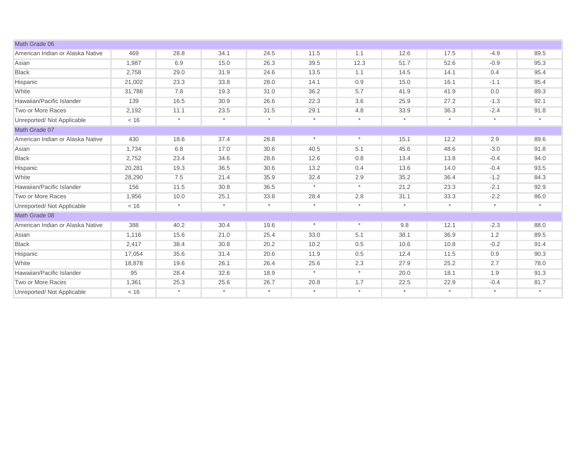| Math Grade 06                    |        |         |         |         |         |         |         |         |          |         |
|----------------------------------|--------|---------|---------|---------|---------|---------|---------|---------|----------|---------|
| American Indian or Alaska Native | 469    | 28.8    | 34.1    | 24.5    | 11.5    | 1.1     | 12.6    | 17.5    | $-4.9$   | 89.5    |
| Asian                            | 1.987  | 6.9     | 15.0    | 26.3    | 39.5    | 12.3    | 51.7    | 52.6    | $-0.9$   | 95.3    |
| <b>Black</b>                     | 2,758  | 29.0    | 31.9    | 24.6    | 13.5    | 1.1     | 14.5    | 14.1    | 0.4      | 95.4    |
| Hispanic                         | 21,002 | 23.3    | 33.8    | 28.0    | 14.1    | 0.9     | 15.0    | 16.1    | $-1.1$   | 95.4    |
| White                            | 31,786 | 7.8     | 19.3    | 31.0    | 36.2    | 5.7     | 41.9    | 41.9    | 0.0      | 89.3    |
| Hawaiian/Pacific Islander        | 139    | 16.5    | 30.9    | 26.6    | 22.3    | 3.6     | 25.9    | 27.2    | $-1.3$   | 92.1    |
| Two or More Races                | 2,192  | 11.1    | 23.5    | 31.5    | 29.1    | 4.8     | 33.9    | 36.3    | $-2.4$   | 91.8    |
| Unreported/ Not Applicable       | < 16   | $\star$ | $\star$ | $\star$ | $\star$ | $\ast$  | $\star$ | $\star$ | $\star$  | $\star$ |
| Math Grade 07                    |        |         |         |         |         |         |         |         |          |         |
| American Indian or Alaska Native | 430    | 18.6    | 37.4    | 28.8    | $\ast$  | $\star$ | 15.1    | 12.2    | 2.9      | 89.6    |
| Asian                            | 1,734  | 6.8     | 17.0    | 30.6    | 40.5    | 5.1     | 45.6    | 48.6    | $-3.0$   | 91.8    |
| <b>Black</b>                     | 2,752  | 23.4    | 34.6    | 28.6    | 12.6    | 0.8     | 13.4    | 13.8    | $-0.4$   | 94.0    |
| Hispanic                         | 20,281 | 19.3    | 36.5    | 30.6    | 13.2    | 0.4     | 13.6    | 14.0    | $-0.4$   | 93.5    |
| White                            | 28,290 | 7.5     | 21.4    | 35.9    | 32.4    | 2.9     | 35.2    | 36.4    | $-1.2$   | 84.3    |
| Hawaiian/Pacific Islander        | 156    | 11.5    | 30.8    | 36.5    | $\star$ | $\ast$  | 21.2    | 23.3    | $-2.1$   | 92.9    |
| Two or More Races                | 1,956  | 10.0    | 25.1    | 33.8    | 28.4    | 2.8     | 31.1    | 33.3    | $-2.2$   | 86.0    |
| Unreported/ Not Applicable       | < 16   | $\star$ | $\star$ | $\star$ | $\star$ | $\ast$  | $\star$ | $\star$ | $^\star$ | $\star$ |
| Math Grade 08                    |        |         |         |         |         |         |         |         |          |         |
| American Indian or Alaska Native | 388    | 40.2    | 30.4    | 19.6    | $\star$ | $\star$ | 9.8     | 12.1    | $-2.3$   | 88.0    |
| Asian                            | 1,116  | 15.6    | 21.0    | 25.4    | 33.0    | 5.1     | 38.1    | 36.9    | 1.2      | 89.5    |
| <b>Black</b>                     | 2,417  | 38.4    | 30.8    | 20.2    | 10.2    | 0.5     | 10.6    | 10.8    | $-0.2$   | 91.4    |
| Hispanic                         | 17,054 | 35.6    | 31.4    | 20.6    | 11.9    | 0.5     | 12.4    | 11.5    | 0.9      | 90.3    |
| White                            | 18,878 | 19.6    | 26.1    | 26.4    | 25.6    | 2.3     | 27.9    | 25.2    | 2.7      | 78.0    |
| Hawaiian/Pacific Islander        | 95     | 28.4    | 32.6    | 18.9    | $\star$ | $\star$ | 20.0    | 18.1    | 1.9      | 91.3    |
| Two or More Races                | 1,361  | 25.3    | 25.6    | 26.7    | 20.8    | 1.7     | 22.5    | 22.9    | $-0.4$   | 81.7    |
| Unreported/ Not Applicable       | < 16   | $\star$ | $\star$ | $\star$ | $\star$ | $\star$ | $\star$ | $\star$ | $\star$  | $\star$ |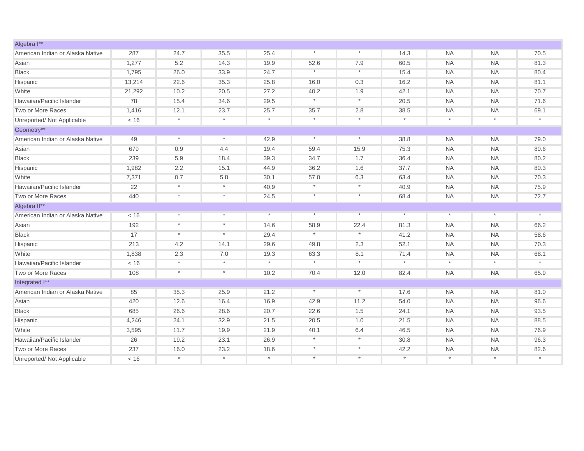| Algebra I**                      |        |            |            |            |          |         |          |            |           |          |
|----------------------------------|--------|------------|------------|------------|----------|---------|----------|------------|-----------|----------|
| American Indian or Alaska Native | 287    | 24.7       | 35.5       | 25.4       | $\star$  | $\star$ | 14.3     | <b>NA</b>  | <b>NA</b> | 70.5     |
| Asian                            | 1,277  | 5.2        | 14.3       | 19.9       | 52.6     | 7.9     | 60.5     | <b>NA</b>  | <b>NA</b> | 81.3     |
| <b>Black</b>                     | 1,795  | 26.0       | 33.9       | 24.7       | $\ast$   | $\star$ | 15.4     | <b>NA</b>  | <b>NA</b> | 80.4     |
| Hispanic                         | 13,214 | 22.6       | 35.3       | 25.8       | 16.0     | 0.3     | 16.2     | <b>NA</b>  | <b>NA</b> | 81.1     |
| White                            | 21,292 | 10.2       | 20.5       | 27.2       | 40.2     | 1.9     | 42.1     | <b>NA</b>  | <b>NA</b> | 70.7     |
| Hawaiian/Pacific Islander        | 78     | 15.4       | 34.6       | 29.5       | $^\star$ | $\star$ | 20.5     | <b>NA</b>  | <b>NA</b> | 71.6     |
| Two or More Races                | 1,416  | 12.1       | 23.7       | 25.7       | 35.7     | 2.8     | 38.5     | <b>NA</b>  | <b>NA</b> | 69.1     |
| Unreported/ Not Applicable       | < 16   | $^{\star}$ | $^\star$   | $\star$    | $\star$  | $\star$ | $\star$  | $^\star$   | $\star$   | $\star$  |
| Geometry**                       |        |            |            |            |          |         |          |            |           |          |
| American Indian or Alaska Native | 49     | $^\star$   | $\star$    | 42.9       | $^\ast$  | $\star$ | 38.8     | <b>NA</b>  | <b>NA</b> | 79.0     |
| Asian                            | 679    | 0.9        | 4.4        | 19.4       | 59.4     | 15.9    | 75.3     | <b>NA</b>  | <b>NA</b> | 80.6     |
| <b>Black</b>                     | 239    | 5.9        | 18.4       | 39.3       | 34.7     | 1.7     | 36.4     | <b>NA</b>  | <b>NA</b> | 80.2     |
| Hispanic                         | 1,982  | 2.2        | 15.1       | 44.9       | 36.2     | 1.6     | 37.7     | <b>NA</b>  | <b>NA</b> | 80.3     |
| White                            | 7,371  | 0.7        | 5.8        | 30.1       | 57.0     | 6.3     | 63.4     | <b>NA</b>  | <b>NA</b> | 70.3     |
| Hawaiian/Pacific Islander        | 22     | $\star$    | $^\star$   | 40.9       | $^\star$ | $\star$ | 40.9     | <b>NA</b>  | <b>NA</b> | 75.9     |
| Two or More Races                | 440    | $\star$    | $\star$    | 24.5       | $\ast$   | $\star$ | 68.4     | <b>NA</b>  | <b>NA</b> | 72.7     |
| Algebra II**                     |        |            |            |            |          |         |          |            |           |          |
| American Indian or Alaska Native | < 16   | $\star$    | $\star$    | $\star$    | $\star$  | $\star$ | $\star$  | $\star$    | $\star$   | $\star$  |
| Asian                            | 192    | $\star$    | $\star$    | 14.6       | 58.9     | 22.4    | 81.3     | <b>NA</b>  | <b>NA</b> | 66.2     |
| <b>Black</b>                     | 17     | $\star$    | $\star$    | 29.4       | $\star$  | $\star$ | 41.2     | <b>NA</b>  | <b>NA</b> | 58.6     |
| Hispanic                         | 213    | 4.2        | 14.1       | 29.6       | 49.8     | 2.3     | 52.1     | <b>NA</b>  | <b>NA</b> | 70.3     |
| White                            | 1,838  | 2.3        | 7.0        | 19.3       | 63.3     | 8.1     | 71.4     | <b>NA</b>  | <b>NA</b> | 68.1     |
| Hawaiian/Pacific Islander        | < 16   | $^\star$   | $^{\star}$ | $^\star$   | $^\star$ | $\star$ | $^\star$ | $^\star$   | $^\star$  | $^\star$ |
| Two or More Races                | 108    | $^\star$   | $\star$    | 10.2       | 70.4     | 12.0    | 82.4     | <b>NA</b>  | <b>NA</b> | 65.9     |
| Integrated I**                   |        |            |            |            |          |         |          |            |           |          |
| American Indian or Alaska Native | 85     | 35.3       | 25.9       | 21.2       | $\star$  | $\star$ | 17.6     | <b>NA</b>  | <b>NA</b> | 81.0     |
| Asian                            | 420    | 12.6       | 16.4       | 16.9       | 42.9     | 11.2    | 54.0     | <b>NA</b>  | <b>NA</b> | 96.6     |
| <b>Black</b>                     | 685    | 26.6       | 28.6       | 20.7       | 22.6     | 1.5     | 24.1     | <b>NA</b>  | <b>NA</b> | 93.5     |
| Hispanic                         | 4,246  | 24.1       | 32.9       | 21.5       | 20.5     | 1.0     | 21.5     | <b>NA</b>  | <b>NA</b> | 88.5     |
| White                            | 3,595  | 11.7       | 19.9       | 21.9       | 40.1     | 6.4     | 46.5     | <b>NA</b>  | <b>NA</b> | 76.9     |
| Hawaiian/Pacific Islander        | 26     | 19.2       | 23.1       | 26.9       | $\star$  | $\star$ | 30.8     | <b>NA</b>  | <b>NA</b> | 96.3     |
| Two or More Races                | 237    | 16.0       | 23.2       | 18.6       | $\star$  | $\star$ | 42.2     | <b>NA</b>  | <b>NA</b> | 82.6     |
| Unreported/ Not Applicable       | < 16   | $^\star$   | $\star$    | $^{\star}$ | $\star$  | $\star$ | $^\star$ | $^{\star}$ | $^\star$  | $^\star$ |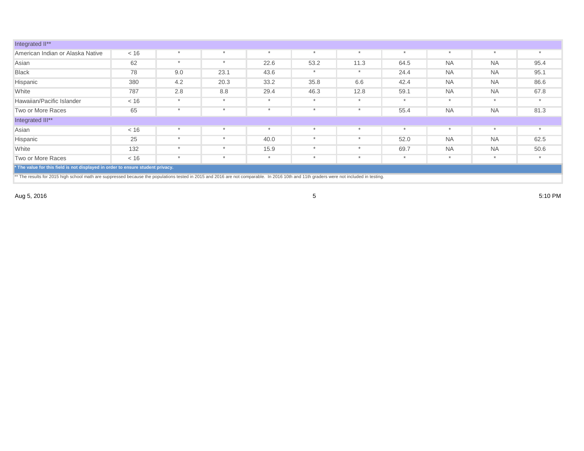| Integrated II**                                                                                                                                                                         |                                                                                 |         |         |      |      |      |      |           |           |      |  |
|-----------------------------------------------------------------------------------------------------------------------------------------------------------------------------------------|---------------------------------------------------------------------------------|---------|---------|------|------|------|------|-----------|-----------|------|--|
| American Indian or Alaska Native                                                                                                                                                        | < 16                                                                            |         |         |      |      |      |      |           |           |      |  |
| Asian                                                                                                                                                                                   | 62                                                                              | $\star$ |         | 22.6 | 53.2 | 11.3 | 64.5 | <b>NA</b> | <b>NA</b> | 95.4 |  |
| <b>Black</b>                                                                                                                                                                            | 78                                                                              | 9.0     | 23.1    | 43.6 |      |      | 24.4 | <b>NA</b> | <b>NA</b> | 95.1 |  |
| Hispanic                                                                                                                                                                                | 380                                                                             | 4.2     | 20.3    | 33.2 | 35.8 | 6.6  | 42.4 | <b>NA</b> | <b>NA</b> | 86.6 |  |
| White                                                                                                                                                                                   | 787                                                                             | 2.8     | 8.8     | 29.4 | 46.3 | 12.8 | 59.1 | <b>NA</b> | <b>NA</b> | 67.8 |  |
| Hawaiian/Pacific Islander                                                                                                                                                               | < 16                                                                            | $\ast$  | $\star$ |      |      |      |      |           | $\star$   |      |  |
| Two or More Races                                                                                                                                                                       | 65                                                                              |         |         |      |      |      | 55.4 | <b>NA</b> | <b>NA</b> | 81.3 |  |
| Integrated III**                                                                                                                                                                        |                                                                                 |         |         |      |      |      |      |           |           |      |  |
| Asian                                                                                                                                                                                   | < 16                                                                            | $\star$ |         |      |      |      |      |           | $\star$   |      |  |
| Hispanic                                                                                                                                                                                | 25                                                                              | $\star$ |         | 40.0 |      |      | 52.0 | <b>NA</b> | <b>NA</b> | 62.5 |  |
| White                                                                                                                                                                                   | 132                                                                             | $\star$ |         | 15.9 |      |      | 69.7 | <b>NA</b> | <b>NA</b> | 50.6 |  |
| Two or More Races                                                                                                                                                                       | < 16                                                                            | $\star$ |         |      |      |      |      |           | $\star$   |      |  |
|                                                                                                                                                                                         | * The value for this field is not displayed in order to ensure student privacy. |         |         |      |      |      |      |           |           |      |  |
| ** The results for 2015 high school math are suppressed because the populations tested in 2015 and 2016 are not comparable. In 2016 10th and 11th graders were not included in testing. |                                                                                 |         |         |      |      |      |      |           |           |      |  |

Aug 5, 2016  $\,$  5:10 PM  $\,$  5:10 PM  $\,$  5.10 PM  $\,$  5.10 PM  $\,$  5.10 PM  $\,$  5.10 PM  $\,$  5.10 PM  $\,$  5.10 PM  $\,$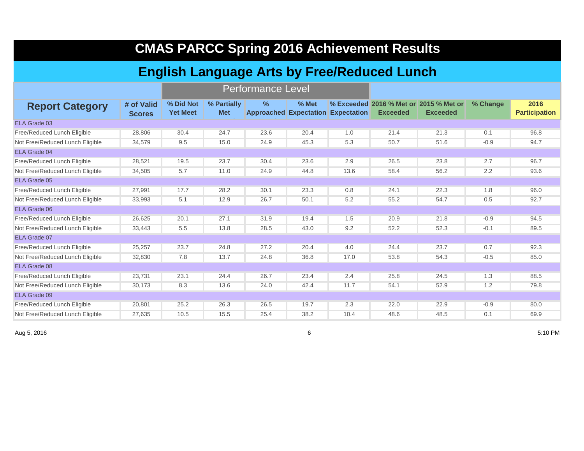| <b>CMAS PARCC Spring 2016 Achievement Results</b>  |                             |                              |                           |      |         |                                           |                 |                                                           |          |                              |  |  |  |  |
|----------------------------------------------------|-----------------------------|------------------------------|---------------------------|------|---------|-------------------------------------------|-----------------|-----------------------------------------------------------|----------|------------------------------|--|--|--|--|
| <b>English Language Arts by Free/Reduced Lunch</b> |                             |                              |                           |      |         |                                           |                 |                                                           |          |                              |  |  |  |  |
|                                                    | <b>Performance Level</b>    |                              |                           |      |         |                                           |                 |                                                           |          |                              |  |  |  |  |
| <b>Report Category</b>                             | # of Valid<br><b>Scores</b> | % Did Not<br><b>Yet Meet</b> | % Partially<br><b>Met</b> | $\%$ | $%$ Met | <b>Approached Expectation Expectation</b> | <b>Exceeded</b> | % Exceeded 2016 % Met or 2015 % Met or<br><b>Exceeded</b> | % Change | 2016<br><b>Participation</b> |  |  |  |  |
| ELA Grade 03                                       |                             |                              |                           |      |         |                                           |                 |                                                           |          |                              |  |  |  |  |
| Free/Reduced Lunch Eligible                        | 28,806                      | 30.4                         | 24.7                      | 23.6 | 20.4    | 1.0                                       | 21.4            | 21.3                                                      | 0.1      | 96.8                         |  |  |  |  |
| Not Free/Reduced Lunch Eligible                    | 34,579                      | 9.5                          | 15.0                      | 24.9 | 45.3    | 5.3                                       | 50.7            | 51.6                                                      | $-0.9$   | 94.7                         |  |  |  |  |
| <b>ELA Grade 04</b>                                |                             |                              |                           |      |         |                                           |                 |                                                           |          |                              |  |  |  |  |
| Free/Reduced Lunch Eligible                        | 28,521                      | 19.5                         | 23.7                      | 30.4 | 23.6    | 2.9                                       | 26.5            | 23.8                                                      | 2.7      | 96.7                         |  |  |  |  |
| Not Free/Reduced Lunch Eligible                    | 34,505                      | 5.7                          | 11.0                      | 24.9 | 44.8    | 13.6                                      | 58.4            | 56.2                                                      | 2.2      | 93.6                         |  |  |  |  |
| ELA Grade 05                                       |                             |                              |                           |      |         |                                           |                 |                                                           |          |                              |  |  |  |  |
| Free/Reduced Lunch Eligible                        | 27.991                      | 17.7                         | 28.2                      | 30.1 | 23.3    | 0.8                                       | 24.1            | 22.3                                                      | 1.8      | 96.0                         |  |  |  |  |
| Not Free/Reduced Lunch Eligible                    | 33,993                      | 5.1                          | 12.9                      | 26.7 | 50.1    | 5.2                                       | 55.2            | 54.7                                                      | 0.5      | 92.7                         |  |  |  |  |
| ELA Grade 06                                       |                             |                              |                           |      |         |                                           |                 |                                                           |          |                              |  |  |  |  |
| Free/Reduced Lunch Eligible                        | 26,625                      | 20.1                         | 27.1                      | 31.9 | 19.4    | 1.5                                       | 20.9            | 21.8                                                      | $-0.9$   | 94.5                         |  |  |  |  |
| Not Free/Reduced Lunch Eligible                    | 33,443                      | 5.5                          | 13.8                      | 28.5 | 43.0    | 9.2                                       | 52.2            | 52.3                                                      | $-0.1$   | 89.5                         |  |  |  |  |
| ELA Grade 07                                       |                             |                              |                           |      |         |                                           |                 |                                                           |          |                              |  |  |  |  |
| Free/Reduced Lunch Eligible                        | 25,257                      | 23.7                         | 24.8                      | 27.2 | 20.4    | 4.0                                       | 24.4            | 23.7                                                      | 0.7      | 92.3                         |  |  |  |  |
| Not Free/Reduced Lunch Eligible                    | 32,830                      | 7.8                          | 13.7                      | 24.8 | 36.8    | 17.0                                      | 53.8            | 54.3                                                      | $-0.5$   | 85.0                         |  |  |  |  |
| ELA Grade 08                                       |                             |                              |                           |      |         |                                           |                 |                                                           |          |                              |  |  |  |  |
| Free/Reduced Lunch Eligible                        | 23,731                      | 23.1                         | 24.4                      | 26.7 | 23.4    | 2.4                                       | 25.8            | 24.5                                                      | 1.3      | 88.5                         |  |  |  |  |
| Not Free/Reduced Lunch Eligible                    | 30,173                      | 8.3                          | 13.6                      | 24.0 | 42.4    | 11.7                                      | 54.1            | 52.9                                                      | 1.2      | 79.8                         |  |  |  |  |
| ELA Grade 09                                       |                             |                              |                           |      |         |                                           |                 |                                                           |          |                              |  |  |  |  |
| Free/Reduced Lunch Eligible                        | 20.801                      | 25.2                         | 26.3                      | 26.5 | 19.7    | 2.3                                       | 22.0            | 22.9                                                      | $-0.9$   | 80.0                         |  |  |  |  |
| Not Free/Reduced Lunch Eligible                    | 27,635                      | 10.5                         | 15.5                      | 25.4 | 38.2    | 10.4                                      | 48.6            | 48.5                                                      | 0.1      | 69.9                         |  |  |  |  |

Aug 5, 2016 6 5:10 PM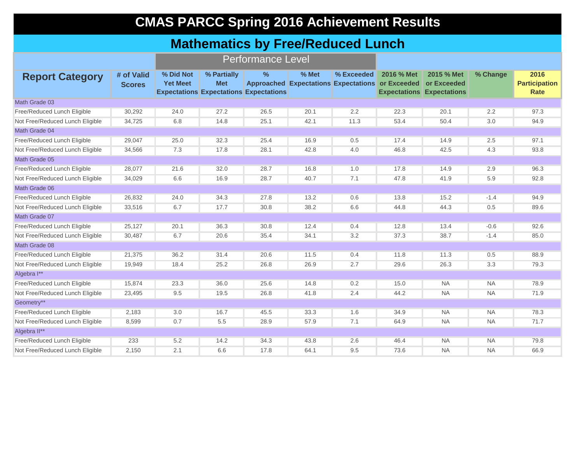### **CMAS PARCC Spring 2016 Achievement Results**

#### **Mathematics by Free/Reduced Lunch**

|                                 |                             |                              |                           | <b>Performance Level</b>                                       |       |            |                                                                |                                                               |           |                                      |
|---------------------------------|-----------------------------|------------------------------|---------------------------|----------------------------------------------------------------|-------|------------|----------------------------------------------------------------|---------------------------------------------------------------|-----------|--------------------------------------|
| <b>Report Category</b>          | # of Valid<br><b>Scores</b> | % Did Not<br><b>Yet Meet</b> | % Partially<br><b>Met</b> | $\frac{9}{6}$<br><b>Expectations Expectations Expectations</b> | % Met | % Exceeded | 2016 % Met<br>Approached Expectations Expectations or Exceeded | 2015 % Met<br>or Exceeded<br><b>Expectations Expectations</b> | % Change  | 2016<br><b>Participation</b><br>Rate |
| Math Grade 03                   |                             |                              |                           |                                                                |       |            |                                                                |                                                               |           |                                      |
| Free/Reduced Lunch Eligible     | 30,292                      | 24.0                         | 27.2                      | 26.5                                                           | 20.1  | 2.2        | 22.3                                                           | 20.1                                                          | 2.2       | 97.3                                 |
| Not Free/Reduced Lunch Eligible | 34.725                      | 6.8                          | 14.8                      | 25.1                                                           | 42.1  | 11.3       | 53.4                                                           | 50.4                                                          | 3.0       | 94.9                                 |
| Math Grade 04                   |                             |                              |                           |                                                                |       |            |                                                                |                                                               |           |                                      |
| Free/Reduced Lunch Eligible     | 29,047                      | 25.0                         | 32.3                      | 25.4                                                           | 16.9  | 0.5        | 17.4                                                           | 14.9                                                          | 2.5       | 97.1                                 |
| Not Free/Reduced Lunch Eligible | 34,566                      | 7.3                          | 17.8                      | 28.1                                                           | 42.8  | 4.0        | 46.8                                                           | 42.5                                                          | 4.3       | 93.8                                 |
| Math Grade 05                   |                             |                              |                           |                                                                |       |            |                                                                |                                                               |           |                                      |
| Free/Reduced Lunch Eligible     | 28,077                      | 21.6                         | 32.0                      | 28.7                                                           | 16.8  | 1.0        | 17.8                                                           | 14.9                                                          | 2.9       | 96.3                                 |
| Not Free/Reduced Lunch Eligible | 34,029                      | 6.6                          | 16.9                      | 28.7                                                           | 40.7  | 7.1        | 47.8                                                           | 41.9                                                          | 5.9       | 92.8                                 |
| Math Grade 06                   |                             |                              |                           |                                                                |       |            |                                                                |                                                               |           |                                      |
| Free/Reduced Lunch Eligible     | 26,832                      | 24.0                         | 34.3                      | 27.8                                                           | 13.2  | 0.6        | 13.8                                                           | 15.2                                                          | $-1.4$    | 94.9                                 |
| Not Free/Reduced Lunch Eligible | 33,516                      | 6.7                          | 17.7                      | 30.8                                                           | 38.2  | 6.6        | 44.8                                                           | 44.3                                                          | 0.5       | 89.6                                 |
| Math Grade 07                   |                             |                              |                           |                                                                |       |            |                                                                |                                                               |           |                                      |
| Free/Reduced Lunch Eligible     | 25,127                      | 20.1                         | 36.3                      | 30.8                                                           | 12.4  | 0.4        | 12.8                                                           | 13.4                                                          | $-0.6$    | 92.6                                 |
| Not Free/Reduced Lunch Eligible | 30,487                      | 6.7                          | 20.6                      | 35.4                                                           | 34.1  | 3.2        | 37.3                                                           | 38.7                                                          | $-1.4$    | 85.0                                 |
| Math Grade 08                   |                             |                              |                           |                                                                |       |            |                                                                |                                                               |           |                                      |
| Free/Reduced Lunch Eligible     | 21,375                      | 36.2                         | 31.4                      | 20.6                                                           | 11.5  | 0.4        | 11.8                                                           | 11.3                                                          | 0.5       | 88.9                                 |
| Not Free/Reduced Lunch Eligible | 19,949                      | 18.4                         | 25.2                      | 26.8                                                           | 26.9  | 2.7        | 29.6                                                           | 26.3                                                          | 3.3       | 79.3                                 |
| Algebra I**                     |                             |                              |                           |                                                                |       |            |                                                                |                                                               |           |                                      |
| Free/Reduced Lunch Eligible     | 15,874                      | 23.3                         | 36.0                      | 25.6                                                           | 14.8  | 0.2        | 15.0                                                           | <b>NA</b>                                                     | <b>NA</b> | 78.9                                 |
| Not Free/Reduced Lunch Eligible | 23,495                      | 9.5                          | 19.5                      | 26.8                                                           | 41.8  | 2.4        | 44.2                                                           | <b>NA</b>                                                     | <b>NA</b> | 71.9                                 |
| Geometry**                      |                             |                              |                           |                                                                |       |            |                                                                |                                                               |           |                                      |
| Free/Reduced Lunch Eligible     | 2,183                       | 3.0                          | 16.7                      | 45.5                                                           | 33.3  | 1.6        | 34.9                                                           | <b>NA</b>                                                     | <b>NA</b> | 78.3                                 |
| Not Free/Reduced Lunch Eligible | 8,599                       | 0.7                          | 5.5                       | 28.9                                                           | 57.9  | 7.1        | 64.9                                                           | <b>NA</b>                                                     | <b>NA</b> | 71.7                                 |
| Algebra II**                    |                             |                              |                           |                                                                |       |            |                                                                |                                                               |           |                                      |
| Free/Reduced Lunch Eligible     | 233                         | 5.2                          | 14.2                      | 34.3                                                           | 43.8  | 2.6        | 46.4                                                           | NA.                                                           | <b>NA</b> | 79.8                                 |
| Not Free/Reduced Lunch Eligible | 2,150                       | 2.1                          | 6.6                       | 17.8                                                           | 64.1  | 9.5        | 73.6                                                           | <b>NA</b>                                                     | <b>NA</b> | 66.9                                 |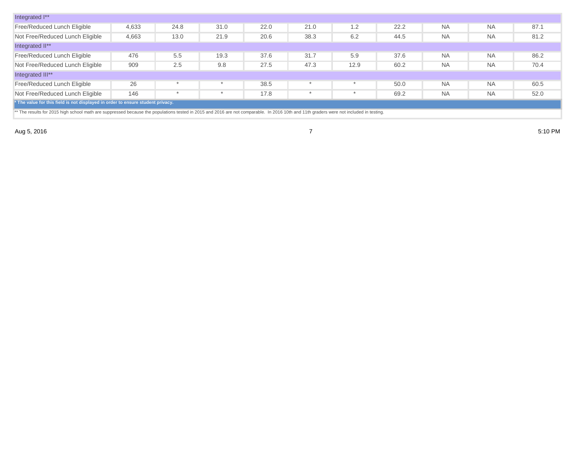| Integrated I**                                                                  |       |      |      |      |         |         |      |           |           |      |
|---------------------------------------------------------------------------------|-------|------|------|------|---------|---------|------|-----------|-----------|------|
| Free/Reduced Lunch Eligible                                                     | 4,633 | 24.8 | 31.0 | 22.0 | 21.0    | 1.2     | 22.2 | <b>NA</b> | <b>NA</b> | 87.1 |
| Not Free/Reduced Lunch Eligible                                                 | 4,663 | 13.0 | 21.9 | 20.6 | 38.3    | 6.2     | 44.5 | <b>NA</b> | <b>NA</b> | 81.2 |
| Integrated II**                                                                 |       |      |      |      |         |         |      |           |           |      |
| Free/Reduced Lunch Eligible                                                     | 476   | 5.5  | 19.3 | 37.6 | 31.7    | 5.9     | 37.6 | <b>NA</b> | <b>NA</b> | 86.2 |
| Not Free/Reduced Lunch Eligible                                                 | 909   | 2.5  | 9.8  | 27.5 | 47.3    | 12.9    | 60.2 | <b>NA</b> | <b>NA</b> | 70.4 |
| Integrated III**                                                                |       |      |      |      |         |         |      |           |           |      |
| Free/Reduced Lunch Eligible                                                     | 26    |      |      | 38.5 | $\star$ | $\star$ | 50.0 | <b>NA</b> | <b>NA</b> | 60.5 |
| Not Free/Reduced Lunch Eligible                                                 | 146   |      |      | 17.8 |         |         | 69.2 | <b>NA</b> | <b>NA</b> | 52.0 |
| * The value for this field is not displayed in order to ensure student privacy. |       |      |      |      |         |         |      |           |           |      |

\*\* The results for 2015 high school math are suppressed because the populations tested in 2015 and 2016 are not comparable. In 2016 10th and 11th graders were not included in testing.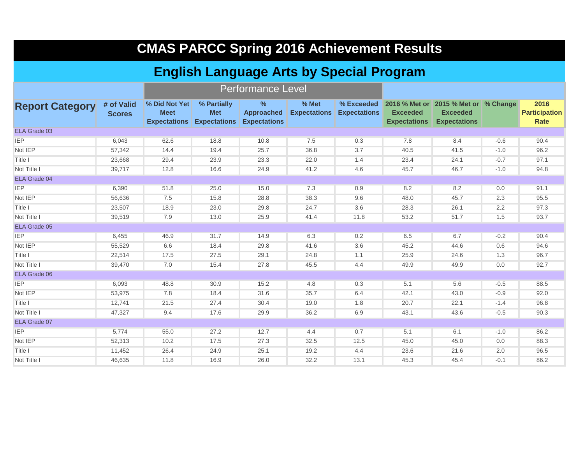|                                                                             | <b>CMAS PARCC Spring 2016 Achievement Results</b> |                              |                                                               |                                                           |                              |                     |                                        |                                                                                           |        |                                             |  |  |  |
|-----------------------------------------------------------------------------|---------------------------------------------------|------------------------------|---------------------------------------------------------------|-----------------------------------------------------------|------------------------------|---------------------|----------------------------------------|-------------------------------------------------------------------------------------------|--------|---------------------------------------------|--|--|--|
| <b>English Language Arts by Special Program</b><br><b>Performance Level</b> |                                                   |                              |                                                               |                                                           |                              |                     |                                        |                                                                                           |        |                                             |  |  |  |
|                                                                             |                                                   |                              |                                                               |                                                           |                              |                     |                                        |                                                                                           |        |                                             |  |  |  |
| <b>Report Category</b>                                                      | # of Valid<br><b>Scores</b>                       | % Did Not Yet<br><b>Meet</b> | % Partially<br><b>Met</b><br><b>Expectations Expectations</b> | $\frac{9}{6}$<br><b>Approached</b><br><b>Expectations</b> | % Met<br><b>Expectations</b> | <b>Expectations</b> | <b>Exceeded</b><br><b>Expectations</b> | % Exceeded 2016 % Met or 2015 % Met or % Change<br><b>Exceeded</b><br><b>Expectations</b> |        | 2016<br><b>Participation</b><br><b>Rate</b> |  |  |  |
| ELA Grade 03                                                                |                                                   |                              |                                                               |                                                           |                              |                     |                                        |                                                                                           |        |                                             |  |  |  |
| <b>IEP</b>                                                                  | 6,043                                             | 62.6                         | 18.8                                                          | 10.8                                                      | 7.5                          | 0.3                 | 7.8                                    | 8.4                                                                                       | $-0.6$ | 90.4                                        |  |  |  |
| Not IEP                                                                     | 57,342                                            | 14.4                         | 19.4                                                          | 25.7                                                      | 36.8                         | 3.7                 | 40.5                                   | 41.5                                                                                      | $-1.0$ | 96.2                                        |  |  |  |
| Title I                                                                     | 23,668                                            | 29.4                         | 23.9                                                          | 23.3                                                      | 22.0                         | 1.4                 | 23.4                                   | 24.1                                                                                      | $-0.7$ | 97.1                                        |  |  |  |
| Not Title I                                                                 | 39,717                                            | 12.8                         | 16.6                                                          | 24.9                                                      | 41.2                         | 4.6                 | 45.7                                   | 46.7                                                                                      | $-1.0$ | 94.8                                        |  |  |  |
| <b>ELA Grade 04</b>                                                         |                                                   |                              |                                                               |                                                           |                              |                     |                                        |                                                                                           |        |                                             |  |  |  |
| <b>IEP</b>                                                                  | 6,390                                             | 51.8                         | 25.0                                                          | 15.0                                                      | 7.3                          | 0.9                 | 8.2                                    | 8.2                                                                                       | 0.0    | 91.1                                        |  |  |  |
| Not IEP                                                                     | 56.636                                            | 7.5                          | 15.8                                                          | 28.8                                                      | 38.3                         | 9.6                 | 48.0                                   | 45.7                                                                                      | 2.3    | 95.5                                        |  |  |  |
| Title I                                                                     | 23,507                                            | 18.9                         | 23.0                                                          | 29.8                                                      | 24.7                         | 3.6                 | 28.3                                   | 26.1                                                                                      | 2.2    | 97.3                                        |  |  |  |
| Not Title I                                                                 | 39,519                                            | 7.9                          | 13.0                                                          | 25.9                                                      | 41.4                         | 11.8                | 53.2                                   | 51.7                                                                                      | 1.5    | 93.7                                        |  |  |  |
| <b>ELA Grade 05</b>                                                         |                                                   |                              |                                                               |                                                           |                              |                     |                                        |                                                                                           |        |                                             |  |  |  |
| <b>IEP</b>                                                                  | 6,455                                             | 46.9                         | 31.7                                                          | 14.9                                                      | 6.3                          | 0.2                 | 6.5                                    | 6.7                                                                                       | $-0.2$ | 90.4                                        |  |  |  |
| Not IEP                                                                     | 55,529                                            | 6.6                          | 18.4                                                          | 29.8                                                      | 41.6                         | 3.6                 | 45.2                                   | 44.6                                                                                      | 0.6    | 94.6                                        |  |  |  |
| Title I                                                                     | 22,514                                            | 17.5                         | 27.5                                                          | 29.1                                                      | 24.8                         | 1.1                 | 25.9                                   | 24.6                                                                                      | 1.3    | 96.7                                        |  |  |  |
| Not Title I                                                                 | 39,470                                            | 7.0                          | 15.4                                                          | 27.8                                                      | 45.5                         | 4.4                 | 49.9                                   | 49.9                                                                                      | 0.0    | 92.7                                        |  |  |  |
| <b>ELA Grade 06</b>                                                         |                                                   |                              |                                                               |                                                           |                              |                     |                                        |                                                                                           |        |                                             |  |  |  |
| <b>IEP</b>                                                                  | 6,093                                             | 48.8                         | 30.9                                                          | 15.2                                                      | 4.8                          | 0.3                 | 5.1                                    | 5.6                                                                                       | $-0.5$ | 88.5                                        |  |  |  |
| Not IEP                                                                     | 53,975                                            | 7.8                          | 18.4                                                          | 31.6                                                      | 35.7                         | 6.4                 | 42.1                                   | 43.0                                                                                      | $-0.9$ | 92.0                                        |  |  |  |
| Title I                                                                     | 12,741                                            | 21.5                         | 27.4                                                          | 30.4                                                      | 19.0                         | 1.8                 | 20.7                                   | 22.1                                                                                      | $-1.4$ | 96.8                                        |  |  |  |
| Not Title I                                                                 | 47,327                                            | 9.4                          | 17.6                                                          | 29.9                                                      | 36.2                         | 6.9                 | 43.1                                   | 43.6                                                                                      | $-0.5$ | 90.3                                        |  |  |  |
| ELA Grade 07                                                                |                                                   |                              |                                                               |                                                           |                              |                     |                                        |                                                                                           |        |                                             |  |  |  |
| <b>IEP</b>                                                                  | 5,774                                             | 55.0                         | 27.2                                                          | 12.7                                                      | 4.4                          | 0.7                 | 5.1                                    | 6.1                                                                                       | $-1.0$ | 86.2                                        |  |  |  |
| Not IEP                                                                     | 52,313                                            | 10.2                         | 17.5                                                          | 27.3                                                      | 32.5                         | 12.5                | 45.0                                   | 45.0                                                                                      | 0.0    | 88.3                                        |  |  |  |
| Title I                                                                     | 11,452                                            | 26.4                         | 24.9                                                          | 25.1                                                      | 19.2                         | 4.4                 | 23.6                                   | 21.6                                                                                      | 2.0    | 96.5                                        |  |  |  |
| Not Title I                                                                 | 46,635                                            | 11.8                         | 16.9                                                          | 26.0                                                      | 32.2                         | 13.1                | 45.3                                   | 45.4                                                                                      | $-0.1$ | 86.2                                        |  |  |  |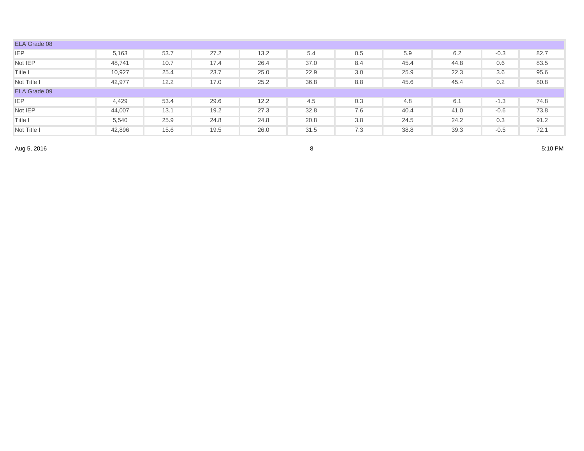| ELA Grade 08 |        |      |      |      |      |     |      |      |        |      |
|--------------|--------|------|------|------|------|-----|------|------|--------|------|
| <b>IEP</b>   | 5,163  | 53.7 | 27.2 | 13.2 | 5.4  | 0.5 | 5.9  | 6.2  | $-0.3$ | 82.7 |
| Not IEP      | 48,741 | 10.7 | 17.4 | 26.4 | 37.0 | 8.4 | 45.4 | 44.8 | 0.6    | 83.5 |
| Title I      | 10,927 | 25.4 | 23.7 | 25.0 | 22.9 | 3.0 | 25.9 | 22.3 | 3.6    | 95.6 |
| Not Title I  | 42,977 | 12.2 | 17.0 | 25.2 | 36.8 | 8.8 | 45.6 | 45.4 | 0.2    | 80.8 |
| ELA Grade 09 |        |      |      |      |      |     |      |      |        |      |
| <b>IEP</b>   | 4,429  | 53.4 | 29.6 | 12.2 | 4.5  | 0.3 | 4.8  | 6.1  | $-1.3$ | 74.8 |
| Not IEP      | 44,007 | 13.1 | 19.2 | 27.3 | 32.8 | 7.6 | 40.4 | 41.0 | $-0.6$ | 73.8 |
| Title I      | 5,540  | 25.9 | 24.8 | 24.8 | 20.8 | 3.8 | 24.5 | 24.2 | 0.3    | 91.2 |
| Not Title I  | 42,896 | 15.6 | 19.5 | 26.0 | 31.5 | 7.3 | 38.8 | 39.3 | $-0.5$ | 72.1 |

Aug 5, 2016

 $8$  5:10 PM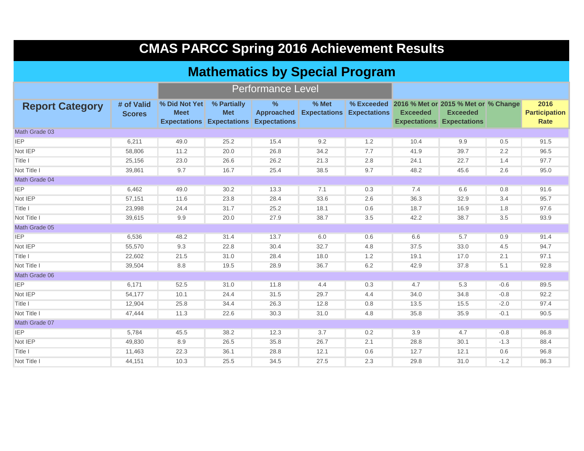|                        | <b>CMAS PARCC Spring 2016 Achievement Results</b> |                              |                                                                            |                           |       |                                  |                                                                    |                                                     |        |                                      |  |  |  |
|------------------------|---------------------------------------------------|------------------------------|----------------------------------------------------------------------------|---------------------------|-------|----------------------------------|--------------------------------------------------------------------|-----------------------------------------------------|--------|--------------------------------------|--|--|--|
|                        |                                                   |                              | <b>Mathematics by Special Program</b>                                      |                           |       |                                  |                                                                    |                                                     |        |                                      |  |  |  |
|                        |                                                   |                              |                                                                            | <b>Performance Level</b>  |       |                                  |                                                                    |                                                     |        |                                      |  |  |  |
| <b>Report Category</b> | # of Valid<br><b>Scores</b>                       | % Did Not Yet<br><b>Meet</b> | % Partially<br><b>Met</b><br><b>Expectations Expectations Expectations</b> | $\%$<br><b>Approached</b> | % Met | <b>Expectations Expectations</b> | % Exceeded 2016 % Met or 2015 % Met or % Change<br><b>Exceeded</b> | <b>Exceeded</b><br><b>Expectations Expectations</b> |        | 2016<br><b>Participation</b><br>Rate |  |  |  |
| Math Grade 03          |                                                   |                              |                                                                            |                           |       |                                  |                                                                    |                                                     |        |                                      |  |  |  |
| <b>IEP</b>             | 6,211                                             | 49.0                         | 25.2                                                                       | 15.4                      | 9.2   | 1.2                              | 10.4                                                               | 9.9                                                 | 0.5    | 91.5                                 |  |  |  |
| Not IEP                | 58,806                                            | 11.2                         | 20.0                                                                       | 26.8                      | 34.2  | 7.7                              | 41.9                                                               | 39.7                                                | 2.2    | 96.5                                 |  |  |  |
| Title I                | 25,156                                            | 23.0                         | 26.6                                                                       | 26.2                      | 21.3  | 2.8                              | 24.1                                                               | 22.7                                                | 1.4    | 97.7                                 |  |  |  |
| Not Title I            | 39,861                                            | 9.7                          | 16.7                                                                       | 25.4                      | 38.5  | 9.7                              | 48.2                                                               | 45.6                                                | 2.6    | 95.0                                 |  |  |  |
| Math Grade 04          |                                                   |                              |                                                                            |                           |       |                                  |                                                                    |                                                     |        |                                      |  |  |  |
| <b>IEP</b>             | 6,462                                             | 49.0                         | 30.2                                                                       | 13.3                      | 7.1   | 0.3                              | 7.4                                                                | 6.6                                                 | 0.8    | 91.6                                 |  |  |  |
| Not IEP                | 57,151                                            | 11.6                         | 23.8                                                                       | 28.4                      | 33.6  | 2.6                              | 36.3                                                               | 32.9                                                | 3.4    | 95.7                                 |  |  |  |
| Title I                | 23,998                                            | 24.4                         | 31.7                                                                       | 25.2                      | 18.1  | 0.6                              | 18.7                                                               | 16.9                                                | 1.8    | 97.6                                 |  |  |  |
| Not Title I            | 39,615                                            | 9.9                          | 20.0                                                                       | 27.9                      | 38.7  | 3.5                              | 42.2                                                               | 38.7                                                | 3.5    | 93.9                                 |  |  |  |
| Math Grade 05          |                                                   |                              |                                                                            |                           |       |                                  |                                                                    |                                                     |        |                                      |  |  |  |
| <b>IEP</b>             | 6,536                                             | 48.2                         | 31.4                                                                       | 13.7                      | 6.0   | 0.6                              | 6.6                                                                | 5.7                                                 | 0.9    | 91.4                                 |  |  |  |
| Not IEP                | 55,570                                            | 9.3                          | 22.8                                                                       | 30.4                      | 32.7  | 4.8                              | 37.5                                                               | 33.0                                                | 4.5    | 94.7                                 |  |  |  |
| Title I                | 22,602                                            | 21.5                         | 31.0                                                                       | 28.4                      | 18.0  | 1.2                              | 19.1                                                               | 17.0                                                | 2.1    | 97.1                                 |  |  |  |
| Not Title I            | 39,504                                            | 8.8                          | 19.5                                                                       | 28.9                      | 36.7  | 6.2                              | 42.9                                                               | 37.8                                                | 5.1    | 92.8                                 |  |  |  |
| Math Grade 06          |                                                   |                              |                                                                            |                           |       |                                  |                                                                    |                                                     |        |                                      |  |  |  |
| <b>IEP</b>             | 6.171                                             | 52.5                         | 31.0                                                                       | 11.8                      | 4.4   | 0.3                              | 4.7                                                                | 5.3                                                 | $-0.6$ | 89.5                                 |  |  |  |
| Not IEP                | 54,177                                            | 10.1                         | 24.4                                                                       | 31.5                      | 29.7  | 4.4                              | 34.0                                                               | 34.8                                                | $-0.8$ | 92.2                                 |  |  |  |
| Title I                | 12,904                                            | 25.8                         | 34.4                                                                       | 26.3                      | 12.8  | 0.8                              | 13.5                                                               | 15.5                                                | $-2.0$ | 97.4                                 |  |  |  |
| Not Title I            | 47,444                                            | 11.3                         | 22.6                                                                       | 30.3                      | 31.0  | 4.8                              | 35.8                                                               | 35.9                                                | $-0.1$ | 90.5                                 |  |  |  |
| Math Grade 07          |                                                   |                              |                                                                            |                           |       |                                  |                                                                    |                                                     |        |                                      |  |  |  |
| <b>IEP</b>             | 5.784                                             | 45.5                         | 38.2                                                                       | 12.3                      | 3.7   | 0.2                              | 3.9                                                                | 4.7                                                 | $-0.8$ | 86.8                                 |  |  |  |
| Not IEP                | 49,830                                            | 8.9                          | 26.5                                                                       | 35.8                      | 26.7  | 2.1                              | 28.8                                                               | 30.1                                                | $-1.3$ | 88.4                                 |  |  |  |
| Title I                | 11,463                                            | 22.3                         | 36.1                                                                       | 28.8                      | 12.1  | 0.6                              | 12.7                                                               | 12.1                                                | 0.6    | 96.8                                 |  |  |  |
| Not Title I            | 44,151                                            | 10.3                         | 25.5                                                                       | 34.5                      | 27.5  | 2.3                              | 29.8                                                               | 31.0                                                | $-1.2$ | 86.3                                 |  |  |  |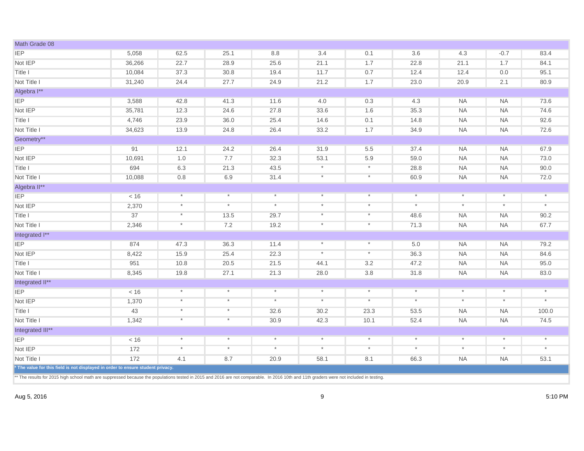| Math Grade 08                                                                   |        |            |            |          |            |          |         |            |           |          |
|---------------------------------------------------------------------------------|--------|------------|------------|----------|------------|----------|---------|------------|-----------|----------|
| <b>IEP</b>                                                                      | 5,058  | 62.5       | 25.1       | 8.8      | 3.4        | 0.1      | 3.6     | 4.3        | $-0.7$    | 83.4     |
| Not IEP                                                                         | 36,266 | 22.7       | 28.9       | 25.6     | 21.1       | 1.7      | 22.8    | 21.1       | 1.7       | 84.1     |
| Title I                                                                         | 10,084 | 37.3       | 30.8       | 19.4     | 11.7       | 0.7      | 12.4    | 12.4       | 0.0       | 95.1     |
| Not Title I                                                                     | 31,240 | 24.4       | 27.7       | 24.9     | 21.2       | 1.7      | 23.0    | 20.9       | 2.1       | 80.9     |
| Algebra I**                                                                     |        |            |            |          |            |          |         |            |           |          |
| <b>IEP</b>                                                                      | 3,588  | 42.8       | 41.3       | 11.6     | 4.0        | 0.3      | 4.3     | <b>NA</b>  | <b>NA</b> | 73.6     |
| Not IEP                                                                         | 35,781 | 12.3       | 24.6       | 27.8     | 33.6       | 1.6      | 35.3    | <b>NA</b>  | <b>NA</b> | 74.6     |
| Title I                                                                         | 4,746  | 23.9       | 36.0       | 25.4     | 14.6       | 0.1      | 14.8    | <b>NA</b>  | <b>NA</b> | 92.6     |
| Not Title I                                                                     | 34,623 | 13.9       | 24.8       | 26.4     | 33.2       | 1.7      | 34.9    | <b>NA</b>  | <b>NA</b> | 72.6     |
| Geometry**                                                                      |        |            |            |          |            |          |         |            |           |          |
| <b>IEP</b>                                                                      | 91     | 12.1       | 24.2       | 26.4     | 31.9       | 5.5      | 37.4    | <b>NA</b>  | <b>NA</b> | 67.9     |
| Not IEP                                                                         | 10,691 | 1.0        | 7.7        | 32.3     | 53.1       | 5.9      | 59.0    | <b>NA</b>  | <b>NA</b> | 73.0     |
| Title I                                                                         | 694    | 6.3        | 21.3       | 43.5     | $\star$    | $\star$  | 28.8    | <b>NA</b>  | <b>NA</b> | 90.0     |
| Not Title I                                                                     | 10,088 | 0.8        | 6.9        | 31.4     | $\star$    | $\ast$   | 60.9    | <b>NA</b>  | <b>NA</b> | 72.0     |
| Algebra II**                                                                    |        |            |            |          |            |          |         |            |           |          |
| <b>IEP</b>                                                                      | < 16   | $\star$    | $^{\star}$ | $\star$  | $^{\star}$ | $\star$  | $\star$ | $^{\star}$ | $\star$   | $^\star$ |
| Not IEP                                                                         | 2,370  | $\star$    | $^\star$   | $\star$  | $^\star$   | $\star$  | $\ast$  | $\star$    | $\star$   | $^\star$ |
| Title I                                                                         | 37     | $^\star$   | 13.5       | 29.7     | $\star$    | $\ast$   | 48.6    | <b>NA</b>  | <b>NA</b> | 90.2     |
| Not Title I                                                                     | 2,346  | $\star$    | 7.2        | 19.2     | $\star$    | $\ast$   | 71.3    | <b>NA</b>  | <b>NA</b> | 67.7     |
| Integrated I**                                                                  |        |            |            |          |            |          |         |            |           |          |
| <b>IEP</b>                                                                      | 874    | 47.3       | 36.3       | 11.4     | $\star$    | $\star$  | 5.0     | <b>NA</b>  | <b>NA</b> | 79.2     |
| Not IEP                                                                         | 8,422  | 15.9       | 25.4       | 22.3     | $^\star$   | $^\ast$  | 36.3    | <b>NA</b>  | <b>NA</b> | 84.6     |
| Title I                                                                         | 951    | 10.8       | 20.5       | 21.5     | 44.1       | 3.2      | 47.2    | <b>NA</b>  | <b>NA</b> | 95.0     |
| Not Title I                                                                     | 8,345  | 19.8       | 27.1       | 21.3     | 28.0       | 3.8      | 31.8    | <b>NA</b>  | <b>NA</b> | 83.0     |
| Integrated II**                                                                 |        |            |            |          |            |          |         |            |           |          |
| <b>IEP</b>                                                                      | < 16   | $^\star$   | $\ast$     | $\ast$   | $\star$    | $\ast$   | $\star$ | $\ast$     | $\star$   | $\ast$   |
| Not IEP                                                                         | 1,370  | $^{\star}$ | $\star$    | $^\star$ | $^\star$   | $\ast$   | $\star$ | $^{\star}$ | $\ast$    | $^\star$ |
| Title I                                                                         | 43     | $\ast$     | $\star$    | 32.6     | 30.2       | 23.3     | 53.5    | <b>NA</b>  | <b>NA</b> | 100.0    |
| Not Title I                                                                     | 1,342  | $\star$    | $\ast$     | 30.9     | 42.3       | 10.1     | 52.4    | <b>NA</b>  | <b>NA</b> | 74.5     |
| Integrated III**                                                                |        |            |            |          |            |          |         |            |           |          |
| <b>IEP</b>                                                                      | < 16   | $\ast$     | $\star$    | $\star$  | $\star$    | $^\star$ | $\star$ | $\star$    | $\star$   | $\star$  |
| Not IEP                                                                         | 172    | $\ast$     | $\star$    | $^\star$ | $^\star$   | $\star$  | $\ast$  | $^{\star}$ | $^{\ast}$ | $\star$  |
| Not Title I                                                                     | 172    | 4.1        | 8.7        | 20.9     | 58.1       | 8.1      | 66.3    | <b>NA</b>  | <b>NA</b> | 53.1     |
| * The value for this field is not displayed in order to ensure student privacy. |        |            |            |          |            |          |         |            |           |          |

\*\* The results for 2015 high school math are suppressed because the populations tested in 2015 and 2016 are not comparable. In 2016 10th and 11th graders were not included in testing.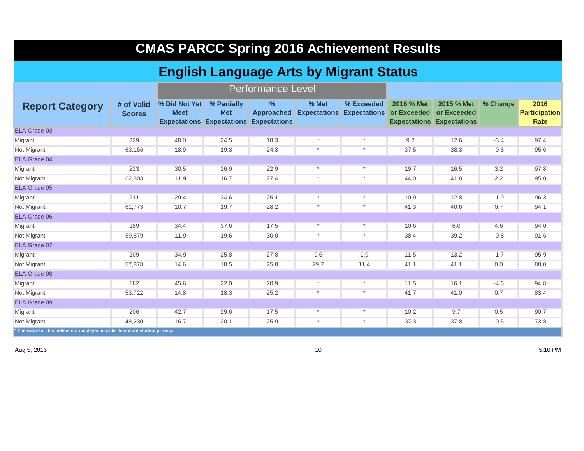| <b>CMAS PARCC Spring 2016 Achievement Results</b>                               |                             |                                                |                                                                            |                          |                              |                                   |                           |                                                               |          |                                      |  |
|---------------------------------------------------------------------------------|-----------------------------|------------------------------------------------|----------------------------------------------------------------------------|--------------------------|------------------------------|-----------------------------------|---------------------------|---------------------------------------------------------------|----------|--------------------------------------|--|
|                                                                                 |                             | <b>English Language Arts by Migrant Status</b> |                                                                            |                          |                              |                                   |                           |                                                               |          |                                      |  |
|                                                                                 |                             |                                                |                                                                            | <b>Performance Level</b> |                              |                                   |                           |                                                               |          |                                      |  |
| <b>Report Category</b>                                                          | # of Valid<br><b>Scores</b> | % Did Not Yet<br><b>Meet</b>                   | % Partially<br><b>Met</b><br><b>Expectations Expectations Expectations</b> | ℅<br><b>Approached</b>   | % Met<br><b>Expectations</b> | % Exceeded<br><b>Expectations</b> | 2016 % Met<br>or Exceeded | 2015 % Met<br>or Exceeded<br><b>Expectations Expectations</b> | % Change | 2016<br><b>Participation</b><br>Rate |  |
| ELA Grade 03                                                                    |                             |                                                |                                                                            |                          |                              |                                   |                           |                                                               |          |                                      |  |
| Migrant                                                                         | 229                         | 48.0                                           | 24.5                                                                       | 18.3                     | $\star$                      | $\ast$                            | 9.2                       | 12.6                                                          | $-3.4$   | 97.4                                 |  |
| Not Migrant                                                                     | 63,156                      | 18.9                                           | 19.3                                                                       | 24.3                     | $\star$                      | $\ast$                            | 37.5                      | 38.3                                                          | $-0.8$   | 95.6                                 |  |
| ELA Grade 04                                                                    |                             |                                                |                                                                            |                          |                              |                                   |                           |                                                               |          |                                      |  |
| Migrant                                                                         | 223                         | 30.5                                           | 26.9                                                                       | 22.9                     | $\star$                      | $\star$                           | 19.7                      | 16.5                                                          | 3.2      | 97.8                                 |  |
| Not Migrant                                                                     | 62,803                      | 11.9                                           | 16.7                                                                       | 27.4                     | $\star$                      | $\star$                           | 44.0                      | 41.8                                                          | 2.2      | 95.0                                 |  |
| ELA Grade 05                                                                    |                             |                                                |                                                                            |                          |                              |                                   |                           |                                                               |          |                                      |  |
| Migrant                                                                         | 211                         | 29.4                                           | 34.6                                                                       | 25.1                     | $\star$                      | $^\star$                          | 10.9                      | 12.8                                                          | $-1.9$   | 96.3                                 |  |
| Not Migrant                                                                     | 61,773                      | 10.7                                           | 19.7                                                                       | 28.2                     | $^\star$                     | $\star$                           | 41.3                      | 40.6                                                          | 0.7      | 94.1                                 |  |
| <b>ELA Grade 06</b>                                                             |                             |                                                |                                                                            |                          |                              |                                   |                           |                                                               |          |                                      |  |
| Migrant                                                                         | 189                         | 34.4                                           | 37.6                                                                       | 17.5                     | $\star$                      | $\star$                           | 10.6                      | 6.0                                                           | 4.6      | 94.0                                 |  |
| Not Migrant                                                                     | 59,879                      | 11.9                                           | 19.6                                                                       | 30.0                     | $\star$                      | $^\star$                          | 38.4                      | 39.2                                                          | $-0.8$   | 91.6                                 |  |
| ELA Grade 07                                                                    |                             |                                                |                                                                            |                          |                              |                                   |                           |                                                               |          |                                      |  |
| Migrant                                                                         | 209                         | 34.9                                           | 25.8                                                                       | 27.8                     | 9.6                          | 1.9                               | 11.5                      | 13.2                                                          | $-1.7$   | 95.9                                 |  |
| Not Migrant                                                                     | 57,878                      | 14.6                                           | 18.5                                                                       | 25.8                     | 29.7                         | 11.4                              | 41.1                      | 41.1                                                          | 0.0      | 88.0                                 |  |
| ELA Grade 08                                                                    |                             |                                                |                                                                            |                          |                              |                                   |                           |                                                               |          |                                      |  |
| Migrant                                                                         | 182                         | 45.6                                           | 22.0                                                                       | 20.9                     | $\star$                      | $\ast$                            | 11.5                      | 16.1                                                          | $-4.6$   | 94.8                                 |  |
| Not Migrant                                                                     | 53,722                      | 14.8                                           | 18.3                                                                       | 25.2                     | $\star$                      | $\star$                           | 41.7                      | 41.0                                                          | 0.7      | 83.4                                 |  |
| <b>ELA Grade 09</b>                                                             |                             |                                                |                                                                            |                          |                              |                                   |                           |                                                               |          |                                      |  |
| Migrant                                                                         | 206                         | 42.7                                           | 29.6                                                                       | 17.5                     | $\star$                      | $\star$                           | 10.2                      | 9.7                                                           | 0.5      | 90.7                                 |  |
| Not Migrant                                                                     | 48,230                      | 16.7                                           | 20.1                                                                       | 25.9                     | $\star$                      | $^\ast$                           | 37.3                      | 37.8                                                          | $-0.5$   | 73.8                                 |  |
| * The value for this field is not displayed in order to ensure student privacy. |                             |                                                |                                                                            |                          |                              |                                   |                           |                                                               |          |                                      |  |

Aug 5, 2016 10 5:10 PM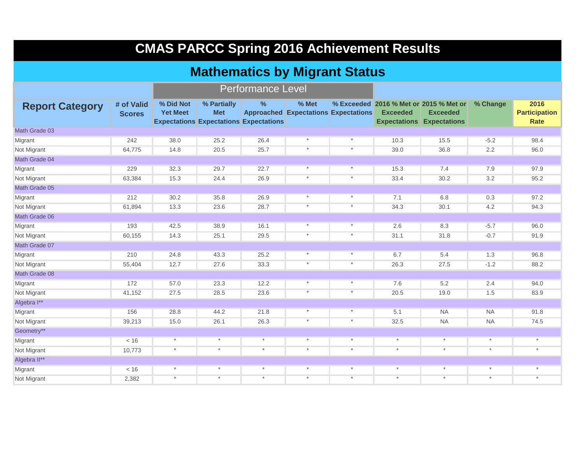# **CMAS PARCC Spring 2016 Achievement Results**

#### **Mathematics by Migrant Status**

|                        |                             |                              |                           | <b>Performance Level</b>                                       |                                                      |          |                                                                                               |                 |           |                                      |
|------------------------|-----------------------------|------------------------------|---------------------------|----------------------------------------------------------------|------------------------------------------------------|----------|-----------------------------------------------------------------------------------------------|-----------------|-----------|--------------------------------------|
| <b>Report Category</b> | # of Valid<br><b>Scores</b> | % Did Not<br><b>Yet Meet</b> | % Partially<br><b>Met</b> | $\frac{9}{6}$<br><b>Expectations Expectations Expectations</b> | % Met<br><b>Approached Expectations Expectations</b> |          | % Exceeded 2016 % Met or 2015 % Met or<br><b>Exceeded</b><br><b>Expectations Expectations</b> | <b>Exceeded</b> | % Change  | 2016<br><b>Participation</b><br>Rate |
| Math Grade 03          |                             |                              |                           |                                                                |                                                      |          |                                                                                               |                 |           |                                      |
| Migrant                | 242                         | 38.0                         | 25.2                      | 26.4                                                           | $\star$                                              | $^\star$ | 10.3                                                                                          | 15.5            | $-5.2$    | 98.4                                 |
| Not Migrant            | 64,775                      | 14.8                         | 20.5                      | 25.7                                                           | $\star$                                              | $\star$  | 39.0                                                                                          | 36.8            | 2.2       | 96.0                                 |
| Math Grade 04          |                             |                              |                           |                                                                |                                                      |          |                                                                                               |                 |           |                                      |
| Migrant                | 229                         | 32.3                         | 29.7                      | 22.7                                                           | $\star$                                              | $\star$  | 15.3                                                                                          | 7.4             | 7.9       | 97.9                                 |
| Not Migrant            | 63,384                      | 15.3                         | 24.4                      | 26.9                                                           | $\star$                                              | $\star$  | 33.4                                                                                          | 30.2            | 3.2       | 95.2                                 |
| Math Grade 05          |                             |                              |                           |                                                                |                                                      |          |                                                                                               |                 |           |                                      |
| Migrant                | 212                         | 30.2                         | 35.8                      | 26.9                                                           | $\star$                                              | $\star$  | 7.1                                                                                           | 6.8             | 0.3       | 97.2                                 |
| Not Migrant            | 61,894                      | 13.3                         | 23.6                      | 28.7                                                           | $\star$                                              | $\star$  | 34.3                                                                                          | 30.1            | 4.2       | 94.3                                 |
| Math Grade 06          |                             |                              |                           |                                                                |                                                      |          |                                                                                               |                 |           |                                      |
| Migrant                | 193                         | 42.5                         | 38.9                      | 16.1                                                           | $\star$                                              | $\star$  | 2.6                                                                                           | 8.3             | $-5.7$    | 96.0                                 |
| Not Migrant            | 60,155                      | 14.3                         | 25.1                      | 29.5                                                           | $\star$                                              | $\star$  | 31.1                                                                                          | 31.8            | $-0.7$    | 91.9                                 |
| Math Grade 07          |                             |                              |                           |                                                                |                                                      |          |                                                                                               |                 |           |                                      |
| Migrant                | 210                         | 24.8                         | 43.3                      | 25.2                                                           | $\ast$                                               | $\ast$   | 6.7                                                                                           | 5.4             | 1.3       | 96.8                                 |
| Not Migrant            | 55,404                      | 12.7                         | 27.6                      | 33.3                                                           | $\star$                                              | $\ast$   | 26.3                                                                                          | 27.5            | $-1.2$    | 88.2                                 |
| Math Grade 08          |                             |                              |                           |                                                                |                                                      |          |                                                                                               |                 |           |                                      |
| Migrant                | 172                         | 57.0                         | 23.3                      | 12.2                                                           | $\star$                                              | $\star$  | 7.6                                                                                           | 5.2             | 2.4       | 94.0                                 |
| Not Migrant            | 41,152                      | 27.5                         | 28.5                      | 23.6                                                           | $\ast$                                               | $\star$  | 20.5                                                                                          | 19.0            | 1.5       | 83.9                                 |
| Algebra I**            |                             |                              |                           |                                                                |                                                      |          |                                                                                               |                 |           |                                      |
| Migrant                | 156                         | 28.8                         | 44.2                      | 21.8                                                           | $^\star$                                             | $\star$  | 5.1                                                                                           | <b>NA</b>       | <b>NA</b> | 91.8                                 |
| Not Migrant            | 39,213                      | 15.0                         | 26.1                      | 26.3                                                           | $\star$                                              | $\star$  | 32.5                                                                                          | <b>NA</b>       | <b>NA</b> | 74.5                                 |
| Geometry**             |                             |                              |                           |                                                                |                                                      |          |                                                                                               |                 |           |                                      |
| Migrant                | < 16                        | $\ast$                       | $\star$                   | $\star$                                                        | $\star$                                              | $\star$  | $\star$                                                                                       | $\star$         | $\star$   | $\star$                              |
| Not Migrant            | 10,773                      | $\star$                      | $\star$                   | $\star$                                                        | $\star$                                              | $\star$  | $^\star$                                                                                      | $\star$         | $\star$   | $\star$                              |
| Algebra II**           |                             |                              |                           |                                                                |                                                      |          |                                                                                               |                 |           |                                      |
| Migrant                | < 16                        | $\star$                      | $\star$                   | $\star$                                                        | $\star$                                              | $\star$  | $\star$                                                                                       | $\ast$          | $\star$   | $^\star$                             |
| Not Migrant            | 2,382                       | $\star$                      | $\star$                   | $\star$                                                        | $\star$                                              | $\star$  | $\star$                                                                                       | $\star$         | $\star$   | $\star$                              |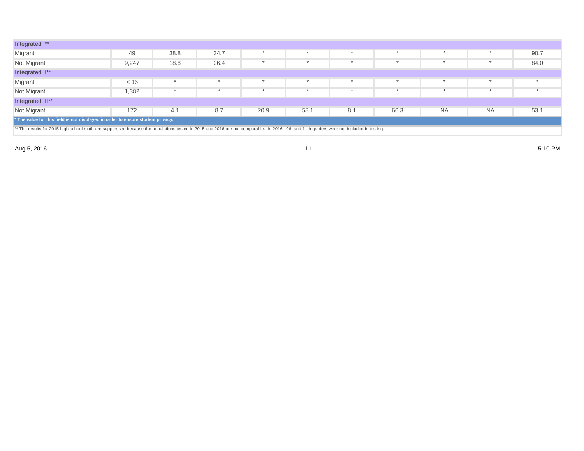| Integrated I**                                                                                                                                                                          |                                                                                    |      |      |  |  |  |  |  |  |         |  |  |  |
|-----------------------------------------------------------------------------------------------------------------------------------------------------------------------------------------|------------------------------------------------------------------------------------|------|------|--|--|--|--|--|--|---------|--|--|--|
| Migrant                                                                                                                                                                                 | 49                                                                                 | 38.8 | 34.7 |  |  |  |  |  |  | 90.7    |  |  |  |
| Not Migrant                                                                                                                                                                             | 9,247                                                                              | 18.8 | 26.4 |  |  |  |  |  |  | 84.0    |  |  |  |
| Integrated II**                                                                                                                                                                         |                                                                                    |      |      |  |  |  |  |  |  |         |  |  |  |
| Migrant                                                                                                                                                                                 | < 16                                                                               |      |      |  |  |  |  |  |  | $\star$ |  |  |  |
| Not Migrant                                                                                                                                                                             | 1,382                                                                              |      |      |  |  |  |  |  |  |         |  |  |  |
| Integrated III**                                                                                                                                                                        |                                                                                    |      |      |  |  |  |  |  |  |         |  |  |  |
| Not Migrant                                                                                                                                                                             | 53.1<br><b>NA</b><br><b>NA</b><br>172<br>66.3<br>8.7<br>20.9<br>58.1<br>8.1<br>4.1 |      |      |  |  |  |  |  |  |         |  |  |  |
| * The value for this field is not displayed in order to ensure student privacy.                                                                                                         |                                                                                    |      |      |  |  |  |  |  |  |         |  |  |  |
| ** The results for 2015 high school math are suppressed because the populations tested in 2015 and 2016 are not comparable. In 2016 10th and 11th graders were not included in testing. |                                                                                    |      |      |  |  |  |  |  |  |         |  |  |  |

Aug 5, 2016 11 5:10 PM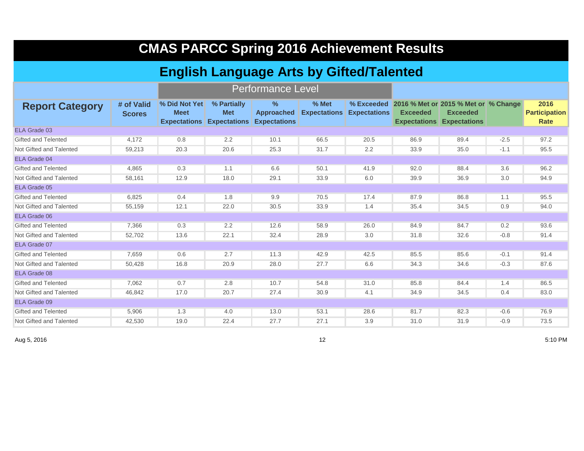| <b>CMAS PARCC Spring 2016 Achievement Results</b> |                             |                                     |                                                               |                                                  |                              |                     |                 |                                                                                                        |        |                                             |  |  |  |
|---------------------------------------------------|-----------------------------|-------------------------------------|---------------------------------------------------------------|--------------------------------------------------|------------------------------|---------------------|-----------------|--------------------------------------------------------------------------------------------------------|--------|---------------------------------------------|--|--|--|
| <b>English Language Arts by Gifted/Talented</b>   |                             |                                     |                                                               |                                                  |                              |                     |                 |                                                                                                        |        |                                             |  |  |  |
|                                                   |                             |                                     |                                                               | <b>Performance Level</b>                         |                              |                     |                 |                                                                                                        |        |                                             |  |  |  |
| <b>Report Category</b>                            | # of Valid<br><b>Scores</b> | <b>% Did Not Yet</b><br><b>Meet</b> | % Partially<br><b>Met</b><br><b>Expectations Expectations</b> | $\%$<br><b>Approached</b><br><b>Expectations</b> | % Met<br><b>Expectations</b> | <b>Expectations</b> | <b>Exceeded</b> | % Exceeded 2016 % Met or 2015 % Met or % Change<br><b>Exceeded</b><br><b>Expectations Expectations</b> |        | 2016<br><b>Participation</b><br><b>Rate</b> |  |  |  |
| ELA Grade 03                                      |                             |                                     |                                                               |                                                  |                              |                     |                 |                                                                                                        |        |                                             |  |  |  |
| Gifted and Telented                               | 4,172                       | 0.8                                 | 2.2                                                           | 10.1                                             | 66.5                         | 20.5                | 86.9            | 89.4                                                                                                   | $-2.5$ | 97.2                                        |  |  |  |
| Not Gifted and Talented                           | 59,213                      | 20.3                                | 20.6                                                          | 25.3                                             | 31.7                         | 2.2                 | 33.9            | 35.0                                                                                                   | $-1.1$ | 95.5                                        |  |  |  |
| ELA Grade 04                                      |                             |                                     |                                                               |                                                  |                              |                     |                 |                                                                                                        |        |                                             |  |  |  |
| Gifted and Telented                               | 4,865                       | 0.3                                 | 1.1                                                           | 6.6                                              | 50.1                         | 41.9                | 92.0            | 88.4                                                                                                   | 3.6    | 96.2                                        |  |  |  |
| Not Gifted and Talented                           | 58,161                      | 12.9                                | 18.0                                                          | 29.1                                             | 33.9                         | 6.0                 | 39.9            | 36.9                                                                                                   | 3.0    | 94.9                                        |  |  |  |
| ELA Grade 05                                      |                             |                                     |                                                               |                                                  |                              |                     |                 |                                                                                                        |        |                                             |  |  |  |
| Gifted and Telented                               | 6,825                       | 0.4                                 | 1.8                                                           | 9.9                                              | 70.5                         | 17.4                | 87.9            | 86.8                                                                                                   | 1.1    | 95.5                                        |  |  |  |
| Not Gifted and Talented                           | 55,159                      | 12.1                                | 22.0                                                          | 30.5                                             | 33.9                         | 1.4                 | 35.4            | 34.5                                                                                                   | 0.9    | 94.0                                        |  |  |  |
| ELA Grade 06                                      |                             |                                     |                                                               |                                                  |                              |                     |                 |                                                                                                        |        |                                             |  |  |  |
| <b>Gifted and Telented</b>                        | 7.366                       | 0.3                                 | 2.2                                                           | 12.6                                             | 58.9                         | 26.0                | 84.9            | 84.7                                                                                                   | 0.2    | 93.6                                        |  |  |  |
| Not Gifted and Talented                           | 52,702                      | 13.6                                | 22.1                                                          | 32.4                                             | 28.9                         | 3.0                 | 31.8            | 32.6                                                                                                   | $-0.8$ | 91.4                                        |  |  |  |
| ELA Grade 07                                      |                             |                                     |                                                               |                                                  |                              |                     |                 |                                                                                                        |        |                                             |  |  |  |
| <b>Gifted and Telented</b>                        | 7,659                       | 0.6                                 | 2.7                                                           | 11.3                                             | 42.9                         | 42.5                | 85.5            | 85.6                                                                                                   | $-0.1$ | 91.4                                        |  |  |  |
| Not Gifted and Talented                           | 50,428                      | 16.8                                | 20.9                                                          | 28.0                                             | 27.7                         | 6.6                 | 34.3            | 34.6                                                                                                   | $-0.3$ | 87.6                                        |  |  |  |
| ELA Grade 08                                      |                             |                                     |                                                               |                                                  |                              |                     |                 |                                                                                                        |        |                                             |  |  |  |
| <b>Gifted and Telented</b>                        | 7,062                       | 0.7                                 | 2.8                                                           | 10.7                                             | 54.8                         | 31.0                | 85.8            | 84.4                                                                                                   | 1.4    | 86.5                                        |  |  |  |
| Not Gifted and Talented                           | 46.842                      | 17.0                                | 20.7                                                          | 27.4                                             | 30.9                         | 4.1                 | 34.9            | 34.5                                                                                                   | 0.4    | 83.0                                        |  |  |  |
| ELA Grade 09                                      |                             |                                     |                                                               |                                                  |                              |                     |                 |                                                                                                        |        |                                             |  |  |  |
| Gifted and Telented                               | 5,906                       | 1.3                                 | 4.0                                                           | 13.0                                             | 53.1                         | 28.6                | 81.7            | 82.3                                                                                                   | $-0.6$ | 76.9                                        |  |  |  |
| Not Gifted and Talented                           | 42,530                      | 19.0                                | 22.4                                                          | 27.7                                             | 27.1                         | 3.9                 | 31.0            | 31.9                                                                                                   | $-0.9$ | 73.5                                        |  |  |  |

Aug 5, 2016 12 5:10 PM

٠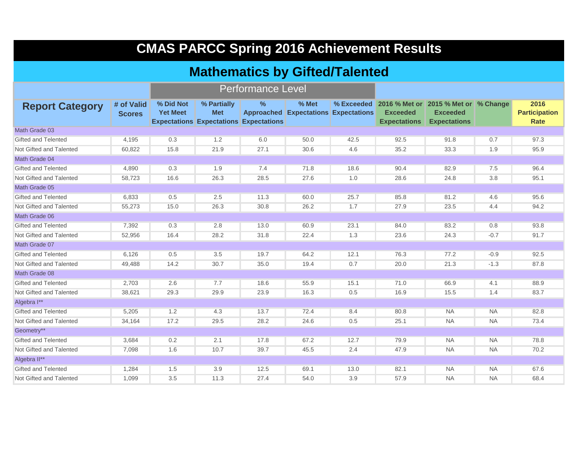## **CMAS PARCC Spring 2016 Achievement Results**

#### **Mathematics by Gifted/Talented**

|                            |                             |                              | Performance Level                                                          |               |                                                      |      |                                        |                                                                                           |           |                                             |
|----------------------------|-----------------------------|------------------------------|----------------------------------------------------------------------------|---------------|------------------------------------------------------|------|----------------------------------------|-------------------------------------------------------------------------------------------|-----------|---------------------------------------------|
| <b>Report Category</b>     | # of Valid<br><b>Scores</b> | % Did Not<br><b>Yet Meet</b> | % Partially<br><b>Met</b><br><b>Expectations Expectations Expectations</b> | $\frac{9}{6}$ | % Met<br><b>Approached Expectations Expectations</b> |      | <b>Exceeded</b><br><b>Expectations</b> | % Exceeded 2016 % Met or 2015 % Met or % Change<br><b>Exceeded</b><br><b>Expectations</b> |           | 2016<br><b>Participation</b><br><b>Rate</b> |
| Math Grade 03              |                             |                              |                                                                            |               |                                                      |      |                                        |                                                                                           |           |                                             |
| <b>Gifted and Telented</b> | 4,195                       | 0.3                          | 1.2                                                                        | 6.0           | 50.0                                                 | 42.5 | 92.5                                   | 91.8                                                                                      | 0.7       | 97.3                                        |
| Not Gifted and Talented    | 60,822                      | 15.8                         | 21.9                                                                       | 27.1          | 30.6                                                 | 4.6  | 35.2                                   | 33.3                                                                                      | 1.9       | 95.9                                        |
| Math Grade 04              |                             |                              |                                                                            |               |                                                      |      |                                        |                                                                                           |           |                                             |
| <b>Gifted and Telented</b> | 4,890                       | 0.3                          | 1.9                                                                        | 7.4           | 71.8                                                 | 18.6 | 90.4                                   | 82.9                                                                                      | 7.5       | 96.4                                        |
| Not Gifted and Talented    | 58,723                      | 16.6                         | 26.3                                                                       | 28.5          | 27.6                                                 | 1.0  | 28.6                                   | 24.8                                                                                      | 3.8       | 95.1                                        |
| Math Grade 05              |                             |                              |                                                                            |               |                                                      |      |                                        |                                                                                           |           |                                             |
| <b>Gifted and Telented</b> | 6,833                       | 0.5                          | 2.5                                                                        | 11.3          | 60.0                                                 | 25.7 | 85.8                                   | 81.2                                                                                      | 4.6       | 95.6                                        |
| Not Gifted and Talented    | 55,273                      | 15.0                         | 26.3                                                                       | 30.8          | 26.2                                                 | 1.7  | 27.9                                   | 23.5                                                                                      | 4.4       | 94.2                                        |
| Math Grade 06              |                             |                              |                                                                            |               |                                                      |      |                                        |                                                                                           |           |                                             |
| <b>Gifted and Telented</b> | 7,392                       | 0.3                          | 2.8                                                                        | 13.0          | 60.9                                                 | 23.1 | 84.0                                   | 83.2                                                                                      | 0.8       | 93.8                                        |
| Not Gifted and Talented    | 52,956                      | 16.4                         | 28.2                                                                       | 31.8          | 22.4                                                 | 1.3  | 23.6                                   | 24.3                                                                                      | $-0.7$    | 91.7                                        |
| Math Grade 07              |                             |                              |                                                                            |               |                                                      |      |                                        |                                                                                           |           |                                             |
| <b>Gifted and Telented</b> | 6,126                       | 0.5                          | 3.5                                                                        | 19.7          | 64.2                                                 | 12.1 | 76.3                                   | 77.2                                                                                      | $-0.9$    | 92.5                                        |
| Not Gifted and Talented    | 49,488                      | 14.2                         | 30.7                                                                       | 35.0          | 19.4                                                 | 0.7  | 20.0                                   | 21.3                                                                                      | $-1.3$    | 87.8                                        |
| Math Grade 08              |                             |                              |                                                                            |               |                                                      |      |                                        |                                                                                           |           |                                             |
| <b>Gifted and Telented</b> | 2,703                       | 2.6                          | 7.7                                                                        | 18.6          | 55.9                                                 | 15.1 | 71.0                                   | 66.9                                                                                      | 4.1       | 88.9                                        |
| Not Gifted and Talented    | 38,621                      | 29.3                         | 29.9                                                                       | 23.9          | 16.3                                                 | 0.5  | 16.9                                   | 15.5                                                                                      | 1.4       | 83.7                                        |
| Algebra I**                |                             |                              |                                                                            |               |                                                      |      |                                        |                                                                                           |           |                                             |
| <b>Gifted and Telented</b> | 5,205                       | 1.2                          | 4.3                                                                        | 13.7          | 72.4                                                 | 8.4  | 80.8                                   | <b>NA</b>                                                                                 | <b>NA</b> | 82.8                                        |
| Not Gifted and Talented    | 34,164                      | 17.2                         | 29.5                                                                       | 28.2          | 24.6                                                 | 0.5  | 25.1                                   | <b>NA</b>                                                                                 | <b>NA</b> | 73.4                                        |
| Geometry**                 |                             |                              |                                                                            |               |                                                      |      |                                        |                                                                                           |           |                                             |
| Gifted and Telented        | 3,684                       | 0.2                          | 2.1                                                                        | 17.8          | 67.2                                                 | 12.7 | 79.9                                   | <b>NA</b>                                                                                 | <b>NA</b> | 78.8                                        |
| Not Gifted and Talented    | 7,098                       | 1.6                          | 10.7                                                                       | 39.7          | 45.5                                                 | 2.4  | 47.9                                   | <b>NA</b>                                                                                 | <b>NA</b> | 70.2                                        |
| Algebra II**               |                             |                              |                                                                            |               |                                                      |      |                                        |                                                                                           |           |                                             |
| Gifted and Telented        | 1.284                       | 1.5                          | 3.9                                                                        | 12.5          | 69.1                                                 | 13.0 | 82.1                                   | <b>NA</b>                                                                                 | <b>NA</b> | 67.6                                        |
| Not Gifted and Talented    | 1.099                       | 3.5                          | 11.3                                                                       | 27.4          | 54.0                                                 | 3.9  | 57.9                                   | <b>NA</b>                                                                                 | <b>NA</b> | 68.4                                        |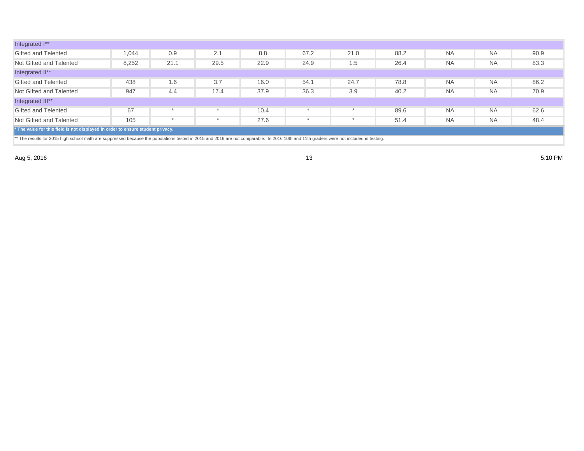| Integrated I**                                                                                                                                                                          |       |      |      |      |      |      |      |           |           |      |  |  |  |
|-----------------------------------------------------------------------------------------------------------------------------------------------------------------------------------------|-------|------|------|------|------|------|------|-----------|-----------|------|--|--|--|
| <b>Gifted and Telented</b>                                                                                                                                                              | 1,044 | 0.9  | 2.1  | 8.8  | 67.2 | 21.0 | 88.2 | <b>NA</b> | <b>NA</b> | 90.9 |  |  |  |
| Not Gifted and Talented                                                                                                                                                                 | 8,252 | 21.1 | 29.5 | 22.9 | 24.9 | 1.5  | 26.4 | <b>NA</b> | <b>NA</b> | 83.3 |  |  |  |
| Integrated II**                                                                                                                                                                         |       |      |      |      |      |      |      |           |           |      |  |  |  |
| <b>Gifted and Telented</b>                                                                                                                                                              | 438   | 1.6  | 3.7  | 16.0 | 54.1 | 24.7 | 78.8 | <b>NA</b> | <b>NA</b> | 86.2 |  |  |  |
| Not Gifted and Talented                                                                                                                                                                 | 947   | 4.4  | 17.4 | 37.9 | 36.3 | 3.9  | 40.2 | <b>NA</b> | <b>NA</b> | 70.9 |  |  |  |
| Integrated III**                                                                                                                                                                        |       |      |      |      |      |      |      |           |           |      |  |  |  |
| <b>Gifted and Telented</b>                                                                                                                                                              | 67    |      |      | 10.4 |      |      | 89.6 | <b>NA</b> | <b>NA</b> | 62.6 |  |  |  |
| Not Gifted and Talented                                                                                                                                                                 | 105   |      |      | 27.6 |      |      | 51.4 | <b>NA</b> | <b>NA</b> | 48.4 |  |  |  |
| * The value for this field is not displayed in order to ensure student privacy.                                                                                                         |       |      |      |      |      |      |      |           |           |      |  |  |  |
| ** The results for 2015 high school math are suppressed because the populations tested in 2015 and 2016 are not comparable. In 2016 10th and 11th graders were not included in testing. |       |      |      |      |      |      |      |           |           |      |  |  |  |

Aug 5, 2016 13 5:10 PM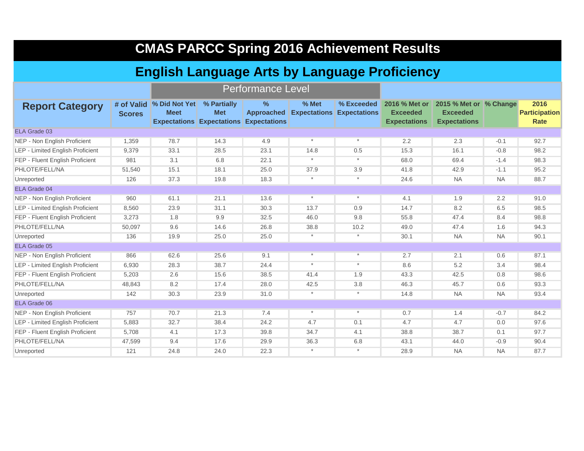| <b>CMAS PARCC Spring 2016 Achievement Results</b> |
|---------------------------------------------------|
|---------------------------------------------------|

### **English Language Arts by Language Proficiency**

Performance Level

|                                         |               | <b>I GILOITIIQHUU LUVUI</b>             |                                                               |                                                           |                                           |            |                                                         |                                                                  |           |                                      |
|-----------------------------------------|---------------|-----------------------------------------|---------------------------------------------------------------|-----------------------------------------------------------|-------------------------------------------|------------|---------------------------------------------------------|------------------------------------------------------------------|-----------|--------------------------------------|
| <b>Report Category</b>                  | <b>Scores</b> | # of Valid % Did Not Yet<br><b>Meet</b> | % Partially<br><b>Met</b><br><b>Expectations Expectations</b> | $\frac{9}{6}$<br><b>Approached</b><br><b>Expectations</b> | % Met<br><b>Expectations Expectations</b> | % Exceeded | 2016 % Met or<br><b>Exceeded</b><br><b>Expectations</b> | 2015 % Met or % Change<br><b>Exceeded</b><br><b>Expectations</b> |           | 2016<br><b>Participation</b><br>Rate |
| ELA Grade 03                            |               |                                         |                                                               |                                                           |                                           |            |                                                         |                                                                  |           |                                      |
| NEP - Non English Proficient            | 1,359         | 78.7                                    | 14.3                                                          | 4.9                                                       | $\star$                                   | $\star$    | 2.2                                                     | 2.3                                                              | $-0.1$    | 92.7                                 |
| <b>LEP - Limited English Proficient</b> | 9,379         | 33.1                                    | 28.5                                                          | 23.1                                                      | 14.8                                      | 0.5        | 15.3                                                    | 16.1                                                             | $-0.8$    | 98.2                                 |
| FEP - Fluent English Proficient         | 981           | 3.1                                     | 6.8                                                           | 22.1                                                      | $\star$                                   | $\star$    | 68.0                                                    | 69.4                                                             | $-1.4$    | 98.3                                 |
| PHLOTE/FELL/NA                          | 51,540        | 15.1                                    | 18.1                                                          | 25.0                                                      | 37.9                                      | 3.9        | 41.8                                                    | 42.9                                                             | $-1.1$    | 95.2                                 |
| Unreported                              | 126           | 37.3                                    | 19.8                                                          | 18.3                                                      | $\star$                                   | $\star$    | 24.6                                                    | <b>NA</b>                                                        | <b>NA</b> | 88.7                                 |
| ELA Grade 04                            |               |                                         |                                                               |                                                           |                                           |            |                                                         |                                                                  |           |                                      |
| NEP - Non English Proficient            | 960           | 61.1                                    | 21.1                                                          | 13.6                                                      | $\star$                                   | $\star$    | 4.1                                                     | 1.9                                                              | 2.2       | 91.0                                 |
| LEP - Limited English Proficient        | 8,560         | 23.9                                    | 31.1                                                          | 30.3                                                      | 13.7                                      | 0.9        | 14.7                                                    | 8.2                                                              | 6.5       | 98.5                                 |
| FEP - Fluent English Proficient         | 3,273         | 1.8                                     | 9.9                                                           | 32.5                                                      | 46.0                                      | 9.8        | 55.8                                                    | 47.4                                                             | 8.4       | 98.8                                 |
| PHLOTE/FELL/NA                          | 50,097        | 9.6                                     | 14.6                                                          | 26.8                                                      | 38.8                                      | 10.2       | 49.0                                                    | 47.4                                                             | 1.6       | 94.3                                 |
| Unreported                              | 136           | 19.9                                    | 25.0                                                          | 25.0                                                      | $\star$                                   | $\star$    | 30.1                                                    | <b>NA</b>                                                        | <b>NA</b> | 90.1                                 |
| ELA Grade 05                            |               |                                         |                                                               |                                                           |                                           |            |                                                         |                                                                  |           |                                      |
| NEP - Non English Proficient            | 866           | 62.6                                    | 25.6                                                          | 9.1                                                       | $\star$                                   | $\star$    | 2.7                                                     | 2.1                                                              | 0.6       | 87.1                                 |
| <b>LEP - Limited English Proficient</b> | 6,930         | 28.3                                    | 38.7                                                          | 24.4                                                      | $\star$                                   | $\star$    | 8.6                                                     | 5.2                                                              | 3.4       | 98.4                                 |
| FEP - Fluent English Proficient         | 5,203         | 2.6                                     | 15.6                                                          | 38.5                                                      | 41.4                                      | 1.9        | 43.3                                                    | 42.5                                                             | 0.8       | 98.6                                 |
| PHLOTE/FELL/NA                          | 48,843        | 8.2                                     | 17.4                                                          | 28.0                                                      | 42.5                                      | 3.8        | 46.3                                                    | 45.7                                                             | 0.6       | 93.3                                 |
| Unreported                              | 142           | 30.3                                    | 23.9                                                          | 31.0                                                      | $\star$                                   | $\star$    | 14.8                                                    | <b>NA</b>                                                        | <b>NA</b> | 93.4                                 |
| ELA Grade 06                            |               |                                         |                                                               |                                                           |                                           |            |                                                         |                                                                  |           |                                      |
| NEP - Non English Proficient            | 757           | 70.7                                    | 21.3                                                          | 7.4                                                       | $\star$                                   | $\star$    | 0.7                                                     | 1.4                                                              | $-0.7$    | 84.2                                 |
| <b>LEP - Limited English Proficient</b> | 5,883         | 32.7                                    | 38.4                                                          | 24.2                                                      | 4.7                                       | 0.1        | 4.7                                                     | 4.7                                                              | 0.0       | 97.6                                 |
| FEP - Fluent English Proficient         | 5.708         | 4.1                                     | 17.3                                                          | 39.8                                                      | 34.7                                      | 4.1        | 38.8                                                    | 38.7                                                             | 0.1       | 97.7                                 |
| PHLOTE/FELL/NA                          | 47,599        | 9.4                                     | 17.6                                                          | 29.9                                                      | 36.3                                      | 6.8        | 43.1                                                    | 44.0                                                             | $-0.9$    | 90.4                                 |
| Unreported                              | 121           | 24.8                                    | 24.0                                                          | 22.3                                                      | $\star$                                   | $\star$    | 28.9                                                    | <b>NA</b>                                                        | <b>NA</b> | 87.7                                 |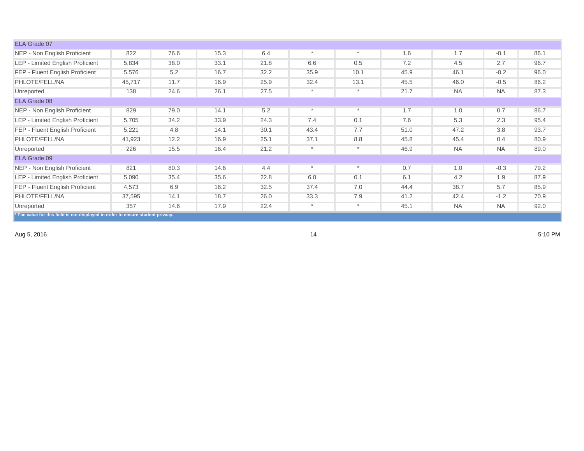| ELA Grade 07                                                                    |        |      |      |      |         |         |      |           |           |      |
|---------------------------------------------------------------------------------|--------|------|------|------|---------|---------|------|-----------|-----------|------|
| NEP - Non English Proficient                                                    | 822    | 76.6 | 15.3 | 6.4  | $\star$ | $\star$ | 1.6  | 1.7       | $-0.1$    | 86.1 |
| LEP - Limited English Proficient                                                | 5,834  | 38.0 | 33.1 | 21.8 | 6.6     | 0.5     | 7.2  | 4.5       | 2.7       | 96.7 |
| FEP - Fluent English Proficient                                                 | 5,576  | 5.2  | 16.7 | 32.2 | 35.9    | 10.1    | 45.9 | 46.1      | $-0.2$    | 96.0 |
| PHLOTE/FELL/NA                                                                  | 45,717 | 11.7 | 16.9 | 25.9 | 32.4    | 13.1    | 45.5 | 46.0      | $-0.5$    | 86.2 |
| Unreported                                                                      | 138    | 24.6 | 26.1 | 27.5 | $\ast$  | $\star$ | 21.7 | <b>NA</b> | <b>NA</b> | 87.3 |
| ELA Grade 08                                                                    |        |      |      |      |         |         |      |           |           |      |
| NEP - Non English Proficient                                                    | 829    | 79.0 | 14.1 | 5.2  | $\star$ | $\star$ | 1.7  | 1.0       | 0.7       | 86.7 |
| <b>LEP - Limited English Proficient</b>                                         | 5,705  | 34.2 | 33.9 | 24.3 | 7.4     | 0.1     | 7.6  | 5.3       | 2.3       | 95.4 |
| FEP - Fluent English Proficient                                                 | 5,221  | 4.8  | 14.1 | 30.1 | 43.4    | 7.7     | 51.0 | 47.2      | 3.8       | 93.7 |
| PHLOTE/FELL/NA                                                                  | 41,923 | 12.2 | 16.9 | 25.1 | 37.1    | 8.8     | 45.8 | 45.4      | 0.4       | 80.9 |
| Unreported                                                                      | 226    | 15.5 | 16.4 | 21.2 | $\star$ | $\star$ | 46.9 | <b>NA</b> | <b>NA</b> | 89.0 |
| ELA Grade 09                                                                    |        |      |      |      |         |         |      |           |           |      |
| NEP - Non English Proficient                                                    | 821    | 80.3 | 14.6 | 4.4  | $\star$ | $\star$ | 0.7  | 1.0       | $-0.3$    | 79.2 |
| LEP - Limited English Proficient                                                | 5,090  | 35.4 | 35.6 | 22.8 | 6.0     | 0.1     | 6.1  | 4.2       | 1.9       | 87.9 |
| FEP - Fluent English Proficient                                                 | 4,573  | 6.9  | 16.2 | 32.5 | 37.4    | 7.0     | 44.4 | 38.7      | 5.7       | 85.9 |
| PHLOTE/FELL/NA                                                                  | 37,595 | 14.1 | 18.7 | 26.0 | 33.3    | 7.9     | 41.2 | 42.4      | $-1.2$    | 70.9 |
| Unreported                                                                      | 357    | 14.6 | 17.9 | 22.4 | $\ast$  | $\ast$  | 45.1 | <b>NA</b> | <b>NA</b> | 92.0 |
| * The value for this field is not displayed in order to ensure student privacy. |        |      |      |      |         |         |      |           |           |      |

Aug 5, 2016 14 5:10 PM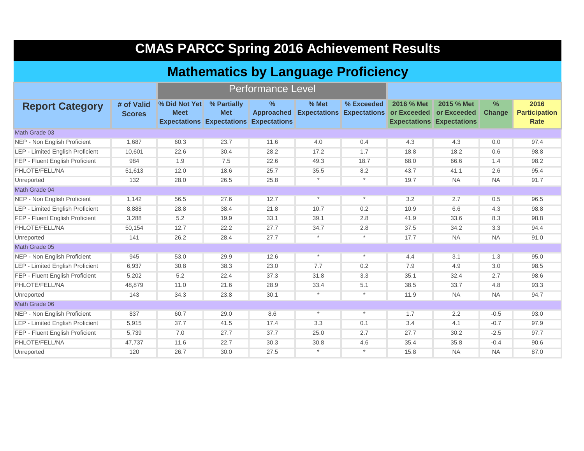| <b>CMAS PARCC Spring 2016 Achievement Results</b> |                                            |                              |                                                               |                                                  |         |                                                |                           |                                                               |                                |                                      |  |  |  |  |  |
|---------------------------------------------------|--------------------------------------------|------------------------------|---------------------------------------------------------------|--------------------------------------------------|---------|------------------------------------------------|---------------------------|---------------------------------------------------------------|--------------------------------|--------------------------------------|--|--|--|--|--|
|                                                   | <b>Mathematics by Language Proficiency</b> |                              |                                                               |                                                  |         |                                                |                           |                                                               |                                |                                      |  |  |  |  |  |
|                                                   |                                            |                              |                                                               | <b>Performance Level</b>                         |         |                                                |                           |                                                               |                                |                                      |  |  |  |  |  |
| <b>Report Category</b>                            | # of Valid<br><b>Scores</b>                | % Did Not Yet<br><b>Meet</b> | % Partially<br><b>Met</b><br><b>Expectations Expectations</b> | $\%$<br><b>Approached</b><br><b>Expectations</b> | % Met   | % Exceeded<br><b>Expectations Expectations</b> | 2016 % Met<br>or Exceeded | 2015 % Met<br>or Exceeded<br><b>Expectations Expectations</b> | $\frac{9}{6}$<br><b>Change</b> | 2016<br><b>Participation</b><br>Rate |  |  |  |  |  |
| Math Grade 03                                     |                                            |                              |                                                               |                                                  |         |                                                |                           |                                                               |                                |                                      |  |  |  |  |  |
| NEP - Non English Proficient                      | 1.687                                      | 60.3                         | 23.7                                                          | 11.6                                             | 4.0     | 0.4                                            | 4.3                       | 4.3                                                           | 0.0                            | 97.4                                 |  |  |  |  |  |
| LEP - Limited English Proficient                  | 10,601                                     | 22.6                         | 30.4                                                          | 28.2                                             | 17.2    | 1.7                                            | 18.8                      | 18.2                                                          | 0.6                            | 98.8                                 |  |  |  |  |  |
| FEP - Fluent English Proficient                   | 984                                        | 1.9                          | 7.5                                                           | 22.6                                             | 49.3    | 18.7                                           | 68.0                      | 66.6                                                          | 1.4                            | 98.2                                 |  |  |  |  |  |
| PHLOTE/FELL/NA                                    | 51,613                                     | 12.0                         | 18.6                                                          | 25.7                                             | 35.5    | 8.2                                            | 43.7                      | 41.1                                                          | 2.6                            | 95.4                                 |  |  |  |  |  |
| Unreported                                        | 132                                        | 28.0                         | 26.5                                                          | 25.8                                             | $\star$ | $\star$                                        | 19.7                      | NA.                                                           | <b>NA</b>                      | 91.7                                 |  |  |  |  |  |
| Math Grade 04                                     |                                            |                              |                                                               |                                                  |         |                                                |                           |                                                               |                                |                                      |  |  |  |  |  |
| NEP - Non English Proficient                      | 1.142                                      | 56.5                         | 27.6                                                          | 12.7                                             | $\ast$  | $\ast$                                         | 3.2                       | 2.7                                                           | 0.5                            | 96.5                                 |  |  |  |  |  |
| LEP - Limited English Proficient                  | 8,888                                      | 28.8                         | 38.4                                                          | 21.8                                             | 10.7    | 0.2                                            | 10.9                      | 6.6                                                           | 4.3                            | 98.8                                 |  |  |  |  |  |
| FEP - Fluent English Proficient                   | 3,288                                      | 5.2                          | 19.9                                                          | 33.1                                             | 39.1    | 2.8                                            | 41.9                      | 33.6                                                          | 8.3                            | 98.8                                 |  |  |  |  |  |
| PHLOTE/FELL/NA                                    | 50,154                                     | 12.7                         | 22.2                                                          | 27.7                                             | 34.7    | 2.8                                            | 37.5                      | 34.2                                                          | 3.3                            | 94.4                                 |  |  |  |  |  |
| Unreported                                        | 141                                        | 26.2                         | 28.4                                                          | 27.7                                             | $\ast$  | $\ast$                                         | 17.7                      | <b>NA</b>                                                     | <b>NA</b>                      | 91.0                                 |  |  |  |  |  |
| Math Grade 05                                     |                                            |                              |                                                               |                                                  |         |                                                |                           |                                                               |                                |                                      |  |  |  |  |  |
| NEP - Non English Proficient                      | 945                                        | 53.0                         | 29.9                                                          | 12.6                                             | $\star$ | $\star$                                        | 4.4                       | 3.1                                                           | 1.3                            | 95.0                                 |  |  |  |  |  |
| <b>LEP - Limited English Proficient</b>           | 6,937                                      | 30.8                         | 38.3                                                          | 23.0                                             | 7.7     | 0.2                                            | 7.9                       | 4.9                                                           | 3.0                            | 98.5                                 |  |  |  |  |  |
| FEP - Fluent English Proficient                   | 5,202                                      | 5.2                          | 22.4                                                          | 37.3                                             | 31.8    | 3.3                                            | 35.1                      | 32.4                                                          | 2.7                            | 98.6                                 |  |  |  |  |  |
| PHLOTE/FELL/NA                                    | 48,879                                     | 11.0                         | 21.6                                                          | 28.9                                             | 33.4    | 5.1                                            | 38.5                      | 33.7                                                          | 4.8                            | 93.3                                 |  |  |  |  |  |
| Unreported                                        | 143                                        | 34.3                         | 23.8                                                          | 30.1                                             | $\star$ | $\star$                                        | 11.9                      | <b>NA</b>                                                     | <b>NA</b>                      | 94.7                                 |  |  |  |  |  |
| Math Grade 06                                     |                                            |                              |                                                               |                                                  |         |                                                |                           |                                                               |                                |                                      |  |  |  |  |  |
| NEP - Non English Proficient                      | 837                                        | 60.7                         | 29.0                                                          | 8.6                                              | $\star$ | $\star$                                        | 1.7                       | 2.2                                                           | $-0.5$                         | 93.0                                 |  |  |  |  |  |
| <b>LEP - Limited English Proficient</b>           | 5,915                                      | 37.7                         | 41.5                                                          | 17.4                                             | 3.3     | 0.1                                            | 3.4                       | 4.1                                                           | $-0.7$                         | 97.9                                 |  |  |  |  |  |
| FEP - Fluent English Proficient                   | 5,739                                      | 7.0                          | 27.7                                                          | 37.7                                             | 25.0    | 2.7                                            | 27.7                      | 30.2                                                          | $-2.5$                         | 97.7                                 |  |  |  |  |  |
| PHLOTE/FELL/NA                                    | 47,737                                     | 11.6                         | 22.7                                                          | 30.3                                             | 30.8    | 4.6                                            | 35.4                      | 35.8                                                          | $-0.4$                         | 90.6                                 |  |  |  |  |  |
| Unreported                                        | 120                                        | 26.7                         | 30.0                                                          | 27.5                                             | $\star$ |                                                | 15.8                      | <b>NA</b>                                                     | <b>NA</b>                      | 87.0                                 |  |  |  |  |  |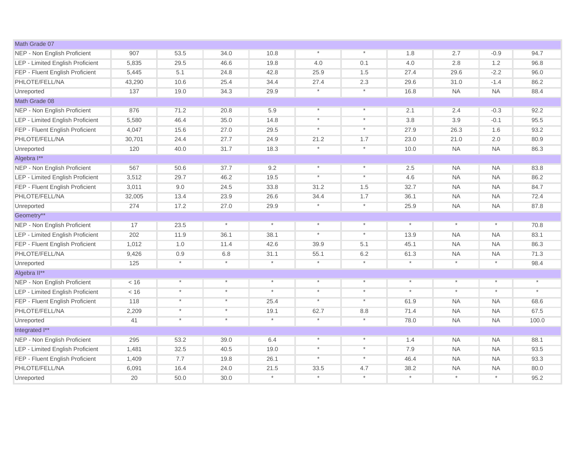| Math Grade 07                    |        |            |            |          |          |          |         |           |           |            |
|----------------------------------|--------|------------|------------|----------|----------|----------|---------|-----------|-----------|------------|
| NEP - Non English Proficient     | 907    | 53.5       | 34.0       | 10.8     | $\star$  | $\star$  | 1.8     | 2.7       | $-0.9$    | 94.7       |
| LEP - Limited English Proficient | 5,835  | 29.5       | 46.6       | 19.8     | 4.0      | 0.1      | 4.0     | 2.8       | 1.2       | 96.8       |
| FEP - Fluent English Proficient  | 5,445  | 5.1        | 24.8       | 42.8     | 25.9     | 1.5      | 27.4    | 29.6      | $-2.2$    | 96.0       |
| PHLOTE/FELL/NA                   | 43,290 | 10.6       | 25.4       | 34.4     | 27.4     | 2.3      | 29.6    | 31.0      | $-1.4$    | 86.2       |
| Unreported                       | 137    | 19.0       | 34.3       | 29.9     | $^\star$ | $\star$  | 16.8    | <b>NA</b> | <b>NA</b> | 88.4       |
| Math Grade 08                    |        |            |            |          |          |          |         |           |           |            |
| NEP - Non English Proficient     | 876    | 71.2       | 20.8       | 5.9      | $^\star$ | $\star$  | 2.1     | 2.4       | $-0.3$    | 92.2       |
| LEP - Limited English Proficient | 5,580  | 46.4       | 35.0       | 14.8     | $^\star$ | $\star$  | 3.8     | 3.9       | $-0.1$    | 95.5       |
| FEP - Fluent English Proficient  | 4,047  | 15.6       | 27.0       | 29.5     | $^\star$ | $\ast$   | 27.9    | 26.3      | 1.6       | 93.2       |
| PHLOTE/FELL/NA                   | 30,701 | 24.4       | 27.7       | 24.9     | 21.2     | 1.7      | 23.0    | 21.0      | 2.0       | 80.9       |
| Unreported                       | 120    | 40.0       | 31.7       | 18.3     | $^\star$ | $\ast$   | 10.0    | <b>NA</b> | <b>NA</b> | 86.3       |
| Algebra I**                      |        |            |            |          |          |          |         |           |           |            |
| NEP - Non English Proficient     | 567    | 50.6       | 37.7       | 9.2      | $\star$  | $\star$  | 2.5     | <b>NA</b> | <b>NA</b> | 83.8       |
| LEP - Limited English Proficient | 3,512  | 29.7       | 46.2       | 19.5     | $^\star$ | $\star$  | 4.6     | <b>NA</b> | <b>NA</b> | 86.2       |
| FEP - Fluent English Proficient  | 3,011  | 9.0        | 24.5       | 33.8     | 31.2     | 1.5      | 32.7    | <b>NA</b> | <b>NA</b> | 84.7       |
| PHLOTE/FELL/NA                   | 32,005 | 13.4       | 23.9       | 26.6     | 34.4     | 1.7      | 36.1    | <b>NA</b> | <b>NA</b> | 72.4       |
| Unreported                       | 274    | 17.2       | 27.0       | 29.9     | $\star$  | $\star$  | 25.9    | <b>NA</b> | <b>NA</b> | 87.8       |
| Geometry**                       |        |            |            |          |          |          |         |           |           |            |
| NEP - Non English Proficient     | 17     | 23.5       | $^{\star}$ | $^\star$ | $\star$  | $\star$  | $\star$ | $\star$   | $\star$   | 70.8       |
| LEP - Limited English Proficient | 202    | 11.9       | 36.1       | 38.1     | $\star$  | $\star$  | 13.9    | <b>NA</b> | <b>NA</b> | 83.1       |
| FEP - Fluent English Proficient  | 1,012  | 1.0        | 11.4       | 42.6     | 39.9     | 5.1      | 45.1    | <b>NA</b> | <b>NA</b> | 86.3       |
| PHLOTE/FELL/NA                   | 9,426  | 0.9        | 6.8        | 31.1     | 55.1     | 6.2      | 61.3    | <b>NA</b> | <b>NA</b> | 71.3       |
| Unreported                       | 125    | $\star$    | $\star$    | $^\star$ | $\star$  | $\star$  | $\ast$  | $\star$   | $^\ast$   | 98.4       |
| Algebra II**                     |        |            |            |          |          |          |         |           |           |            |
| NEP - Non English Proficient     | < 16   | $^{\star}$ | $^\star$   | $^\star$ | $\star$  | $\star$  | $\star$ | $\star$   | $\star$   | $^{\star}$ |
| LEP - Limited English Proficient | < 16   | $\star$    | $^\star$   | $^\star$ | $\star$  | $\star$  | $\star$ | $\star$   | $\ast$    | $^{\star}$ |
| FEP - Fluent English Proficient  | 118    | $\star$    | $\star$    | 25.4     | $^\star$ | $\star$  | 61.9    | <b>NA</b> | <b>NA</b> | 68.6       |
| PHLOTE/FELL/NA                   | 2,209  | $\star$    | $\star$    | 19.1     | 62.7     | 8.8      | 71.4    | <b>NA</b> | <b>NA</b> | 67.5       |
| Unreported                       | 41     | $\star$    | $\star$    | $^\star$ | $\star$  | $^\star$ | 78.0    | <b>NA</b> | <b>NA</b> | 100.0      |
| Integrated I**                   |        |            |            |          |          |          |         |           |           |            |
| NEP - Non English Proficient     | 295    | 53.2       | 39.0       | 6.4      | $\star$  | $\star$  | 1.4     | <b>NA</b> | <b>NA</b> | 88.1       |
| LEP - Limited English Proficient | 1,481  | 32.5       | 40.5       | 19.0     | $\star$  | $\star$  | 7.9     | <b>NA</b> | <b>NA</b> | 93.5       |
| FEP - Fluent English Proficient  | 1,409  | 7.7        | 19.8       | 26.1     | $^\star$ | $\ast$   | 46.4    | <b>NA</b> | <b>NA</b> | 93.3       |
| PHLOTE/FELL/NA                   | 6,091  | 16.4       | 24.0       | 21.5     | 33.5     | 4.7      | 38.2    | <b>NA</b> | <b>NA</b> | 80.0       |
| Unreported                       | 20     | 50.0       | 30.0       | $^\star$ | $^\star$ | $^\star$ |         | $^\star$  | $\star$   | 95.2       |